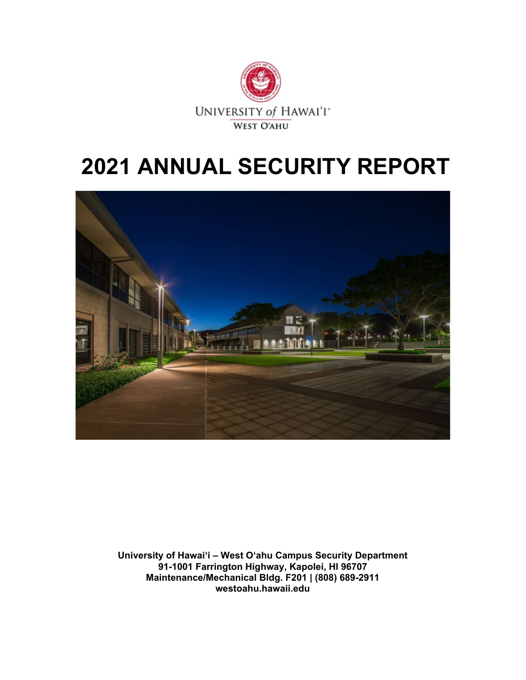

# **2021 ANNUAL SECURITY REPORT**



**University of Hawai'i – West O'ahu Campus Security Department 91-1001 Farrington Highway, Kapolei, HI 96707 Maintenance/Mechanical Bldg. F201 | (808) 689-2911 westoahu.hawaii.edu**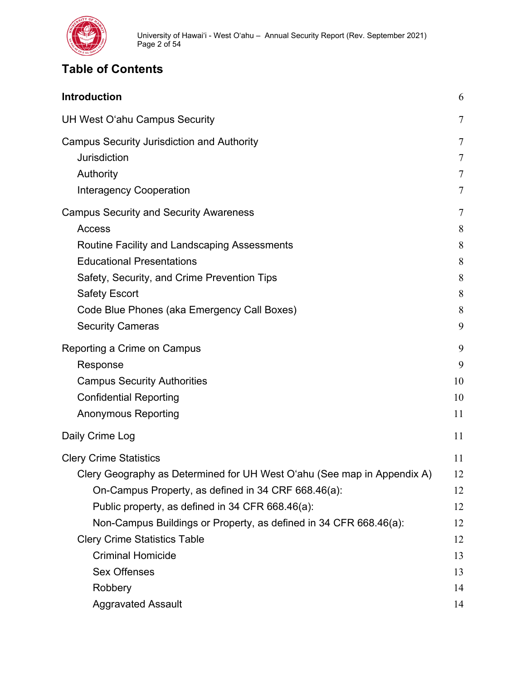

# **Table of Contents**

| <b>Introduction</b>                                                     | 6              |
|-------------------------------------------------------------------------|----------------|
| UH West O'ahu Campus Security                                           | $\overline{7}$ |
| <b>Campus Security Jurisdiction and Authority</b>                       | $\tau$         |
| <b>Jurisdiction</b>                                                     | $\overline{7}$ |
| Authority                                                               | $\tau$         |
| <b>Interagency Cooperation</b>                                          | $\tau$         |
| <b>Campus Security and Security Awareness</b>                           | 7              |
| <b>Access</b>                                                           | 8              |
| Routine Facility and Landscaping Assessments                            | 8              |
| <b>Educational Presentations</b>                                        | 8              |
| Safety, Security, and Crime Prevention Tips                             | 8              |
| <b>Safety Escort</b>                                                    | 8              |
| Code Blue Phones (aka Emergency Call Boxes)                             | 8              |
| <b>Security Cameras</b>                                                 | 9              |
| Reporting a Crime on Campus                                             | 9              |
| Response                                                                | 9              |
| <b>Campus Security Authorities</b>                                      | 10             |
| <b>Confidential Reporting</b>                                           | 10             |
| <b>Anonymous Reporting</b>                                              | 11             |
| Daily Crime Log                                                         | 11             |
| <b>Clery Crime Statistics</b>                                           | 11             |
| Clery Geography as Determined for UH West O'ahu (See map in Appendix A) | 12             |
| On-Campus Property, as defined in 34 CRF 668.46(a):                     | 12             |
| Public property, as defined in 34 CFR 668.46(a):                        | 12             |
| Non-Campus Buildings or Property, as defined in 34 CFR 668.46(a):       | 12             |
| <b>Clery Crime Statistics Table</b>                                     | 12             |
| <b>Criminal Homicide</b>                                                | 13             |
| <b>Sex Offenses</b>                                                     | 13             |
| Robbery                                                                 | 14             |
| <b>Aggravated Assault</b>                                               | 14             |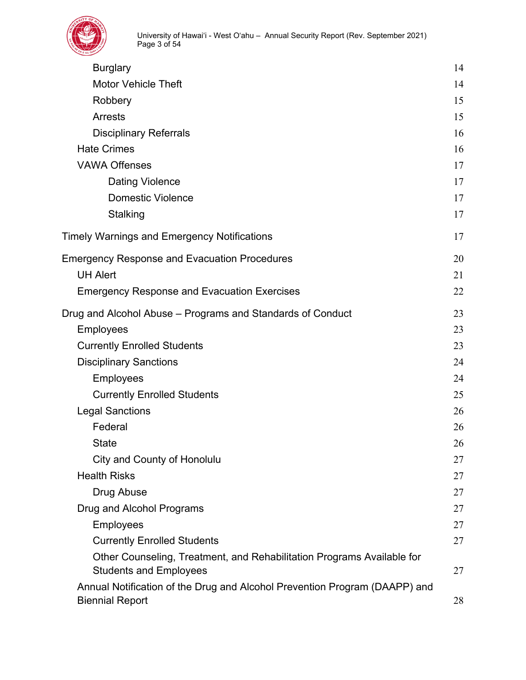| <b>Burglary</b>                                                                                         | 14 |
|---------------------------------------------------------------------------------------------------------|----|
| <b>Motor Vehicle Theft</b>                                                                              | 14 |
| Robbery                                                                                                 | 15 |
| <b>Arrests</b>                                                                                          | 15 |
| <b>Disciplinary Referrals</b>                                                                           | 16 |
| <b>Hate Crimes</b>                                                                                      | 16 |
| <b>VAWA Offenses</b>                                                                                    | 17 |
| <b>Dating Violence</b>                                                                                  | 17 |
| <b>Domestic Violence</b>                                                                                | 17 |
| Stalking                                                                                                | 17 |
| Timely Warnings and Emergency Notifications                                                             | 17 |
| <b>Emergency Response and Evacuation Procedures</b>                                                     | 20 |
| <b>UH Alert</b>                                                                                         | 21 |
| <b>Emergency Response and Evacuation Exercises</b>                                                      | 22 |
| Drug and Alcohol Abuse - Programs and Standards of Conduct                                              | 23 |
| <b>Employees</b>                                                                                        | 23 |
| <b>Currently Enrolled Students</b>                                                                      | 23 |
| <b>Disciplinary Sanctions</b>                                                                           | 24 |
| <b>Employees</b>                                                                                        | 24 |
| <b>Currently Enrolled Students</b>                                                                      | 25 |
| <b>Legal Sanctions</b>                                                                                  | 26 |
| Federal                                                                                                 | 26 |
| <b>State</b>                                                                                            | 26 |
| City and County of Honolulu                                                                             | 27 |
| <b>Health Risks</b>                                                                                     | 27 |
| Drug Abuse                                                                                              | 27 |
| Drug and Alcohol Programs                                                                               | 27 |
| <b>Employees</b>                                                                                        | 27 |
| <b>Currently Enrolled Students</b>                                                                      | 27 |
| Other Counseling, Treatment, and Rehabilitation Programs Available for<br><b>Students and Employees</b> | 27 |
| Annual Notification of the Drug and Alcohol Prevention Program (DAAPP) and<br><b>Biennial Report</b>    | 28 |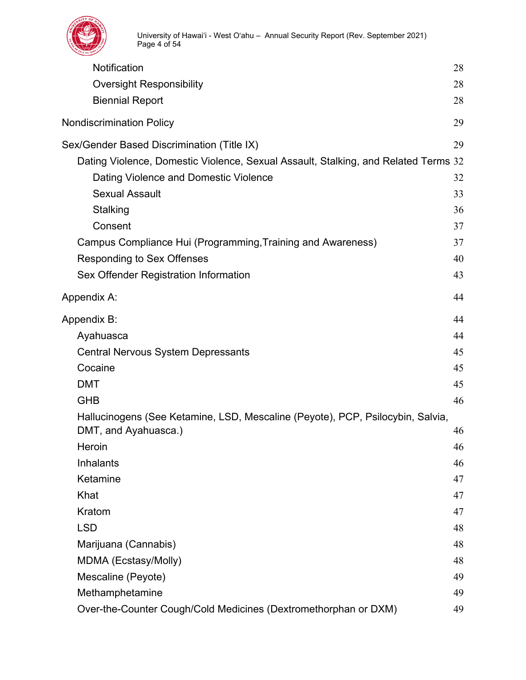

| Notification                                                                       | 28 |
|------------------------------------------------------------------------------------|----|
| <b>Oversight Responsibility</b>                                                    | 28 |
| <b>Biennial Report</b>                                                             | 28 |
| <b>Nondiscrimination Policy</b>                                                    | 29 |
| Sex/Gender Based Discrimination (Title IX)                                         | 29 |
| Dating Violence, Domestic Violence, Sexual Assault, Stalking, and Related Terms 32 |    |
| Dating Violence and Domestic Violence                                              | 32 |
| <b>Sexual Assault</b>                                                              | 33 |
| Stalking                                                                           | 36 |
| Consent                                                                            | 37 |
| Campus Compliance Hui (Programming, Training and Awareness)                        | 37 |
| <b>Responding to Sex Offenses</b>                                                  | 40 |
| Sex Offender Registration Information                                              | 43 |
| Appendix A:                                                                        | 44 |
| Appendix B:                                                                        | 44 |
| Ayahuasca                                                                          | 44 |
| <b>Central Nervous System Depressants</b>                                          | 45 |
| Cocaine                                                                            | 45 |
| <b>DMT</b>                                                                         | 45 |
| <b>GHB</b>                                                                         | 46 |
| Hallucinogens (See Ketamine, LSD, Mescaline (Peyote), PCP, Psilocybin, Salvia,     |    |
| DMT, and Ayahuasca.)                                                               | 46 |
| Heroin                                                                             | 46 |
| <b>Inhalants</b>                                                                   | 46 |
| Ketamine                                                                           | 47 |
| Khat                                                                               | 47 |
| Kratom                                                                             | 47 |
| <b>LSD</b>                                                                         | 48 |
| Marijuana (Cannabis)                                                               | 48 |
| MDMA (Ecstasy/Molly)                                                               | 48 |
| Mescaline (Peyote)                                                                 | 49 |
| Methamphetamine                                                                    | 49 |
| Over-the-Counter Cough/Cold Medicines (Dextromethorphan or DXM)                    | 49 |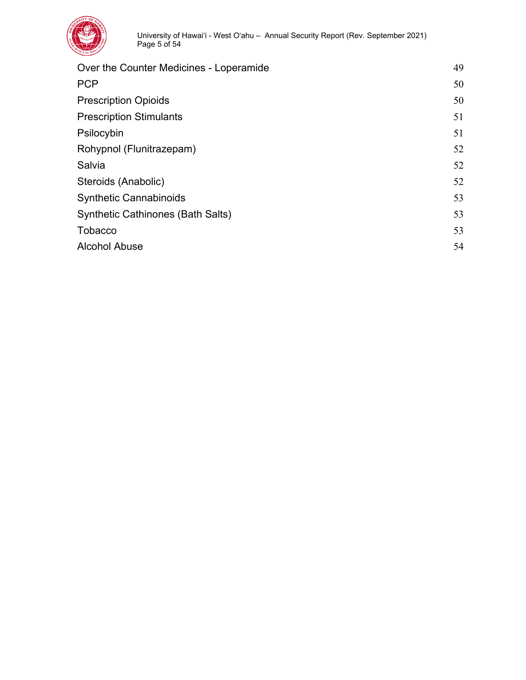

| Over the Counter Medicines - Loperamide  | 49 |
|------------------------------------------|----|
| <b>PCP</b>                               | 50 |
| <b>Prescription Opioids</b>              | 50 |
| <b>Prescription Stimulants</b>           | 51 |
| Psilocybin                               | 51 |
| Rohypnol (Flunitrazepam)                 | 52 |
| Salvia                                   | 52 |
| Steroids (Anabolic)                      | 52 |
| <b>Synthetic Cannabinoids</b>            | 53 |
| <b>Synthetic Cathinones (Bath Salts)</b> | 53 |
| <b>Tobacco</b>                           | 53 |
| <b>Alcohol Abuse</b>                     | 54 |
|                                          |    |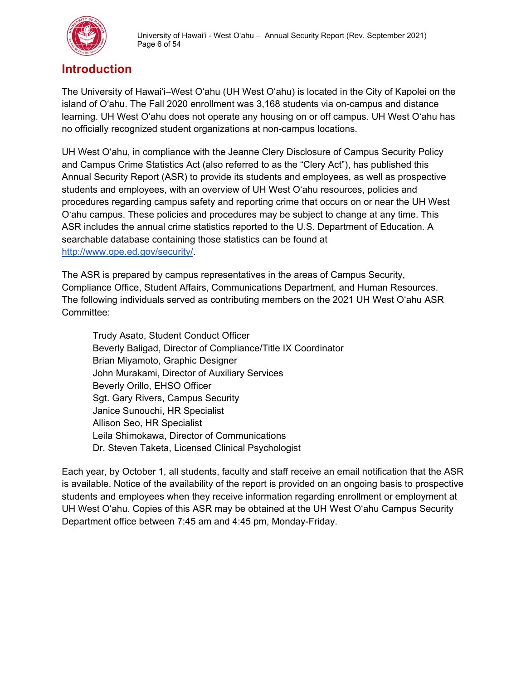

# <span id="page-5-0"></span>**Introduction**

The University of Hawai'i–West O'ahu (UH West O'ahu) is located in the City of Kapolei on the island of O'ahu. The Fall 2020 enrollment was 3,168 students via on-campus and distance learning. UH West O'ahu does not operate any housing on or off campus. UH West O'ahu has no officially recognized student organizations at non-campus locations.

UH West O'ahu, in compliance with the Jeanne Clery Disclosure of Campus Security Policy and Campus Crime Statistics Act (also referred to as the "Clery Act"), has published this Annual Security Report (ASR) to provide its students and employees, as well as prospective students and employees, with an overview of UH West O'ahu resources, policies and procedures regarding campus safety and reporting crime that occurs on or near the UH West O'ahu campus. These policies and procedures may be subject to change at any time. This ASR includes the annual crime statistics reported to the U.S. Department of Education. A searchable database containing those statistics can be found at [http://www.ope.ed.gov/security/.](http://ope.ed.gov/security/)

The ASR is prepared by campus representatives in the areas of Campus Security, Compliance Office, Student Affairs, Communications Department, and Human Resources. The following individuals served as contributing members on the 2021 UH West O'ahu ASR Committee:

Trudy Asato, Student Conduct Officer Beverly Baligad, Director of Compliance/Title IX Coordinator Brian Miyamoto, Graphic Designer John Murakami, Director of Auxiliary Services Beverly Orillo, EHSO Officer Sgt. Gary Rivers, Campus Security Janice Sunouchi, HR Specialist Allison Seo, HR Specialist Leila Shimokawa, Director of Communications Dr. Steven Taketa, Licensed Clinical Psychologist

Each year, by October 1, all students, faculty and staff receive an email notification that the ASR is available. Notice of the availability of the report is provided on an ongoing basis to prospective students and employees when they receive information regarding enrollment or employment at UH West O'ahu. Copies of this ASR may be obtained at the UH West O'ahu Campus Security Department office between 7:45 am and 4:45 pm, Monday-Friday.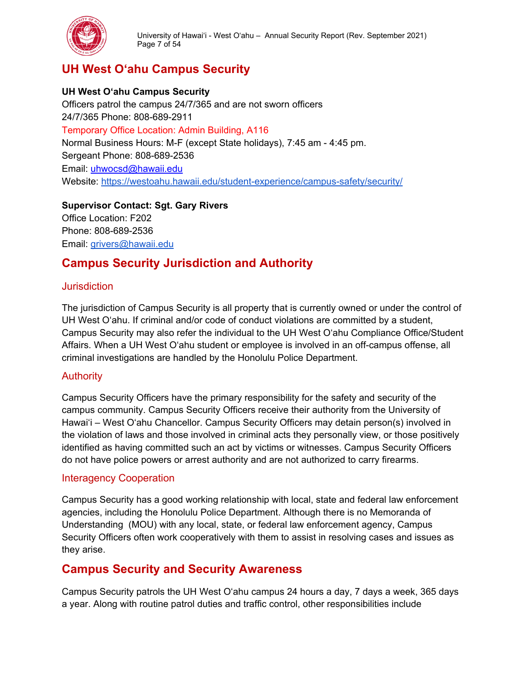

University of Hawai'i - West O'ahu – Annual Security Report (Rev. September 2021) Page 7 of 54

# <span id="page-6-0"></span>**UH West O'ahu Campus Security**

#### **UH West O'ahu Campus Security**

Officers patrol the campus 24/7/365 and are not sworn officers 24/7/365 Phone: 808-689-2911 Temporary Office Location: Admin Building, A116 Normal Business Hours: M-F (except State holidays), 7:45 am - 4:45 pm. Sergeant Phone: 808-689-2536 Email: [uhwocsd@hawaii.edu](mailto:uhwosec@hawaii.edu) Website:<https://westoahu.hawaii.edu/student-experience/campus-safety/security/>

**Supervisor Contact: Sgt. Gary Rivers** Office Location: F202 Phone: 808-689-2536

Email: [grivers@hawaii.edu](mailto:grivers@hawaii.edu)

# **Campus Security Jurisdiction and Authority**

#### <span id="page-6-1"></span>**Jurisdiction**

The jurisdiction of Campus Security is all property that is currently owned or under the control of UH West O'ahu. If criminal and/or code of conduct violations are committed by a student, Campus Security may also refer the individual to the UH West O'ahu Compliance Office/Student Affairs. When a UH West O'ahu student or employee is involved in an off-campus offense, all criminal investigations are handled by the Honolulu Police Department.

#### <span id="page-6-2"></span>**Authority**

Campus Security Officers have the primary responsibility for the safety and security of the campus community. Campus Security Officers receive their authority from the University of Hawai'i – West O'ahu Chancellor. Campus Security Officers may detain person(s) involved in the violation of laws and those involved in criminal acts they personally view, or those positively identified as having committed such an act by victims or witnesses. Campus Security Officers do not have police powers or arrest authority and are not authorized to carry firearms.

#### <span id="page-6-3"></span>Interagency Cooperation

Campus Security has a good working relationship with local, state and federal law enforcement agencies, including the Honolulu Police Department. Although there is no Memoranda of Understanding (MOU) with any local, state, or federal law enforcement agency, Campus Security Officers often work cooperatively with them to assist in resolving cases and issues as they arise.

# <span id="page-6-4"></span>**Campus Security and Security Awareness**

Campus Security patrols the UH West O'ahu campus 24 hours a day, 7 days a week, 365 days a year. Along with routine patrol duties and traffic control, other responsibilities include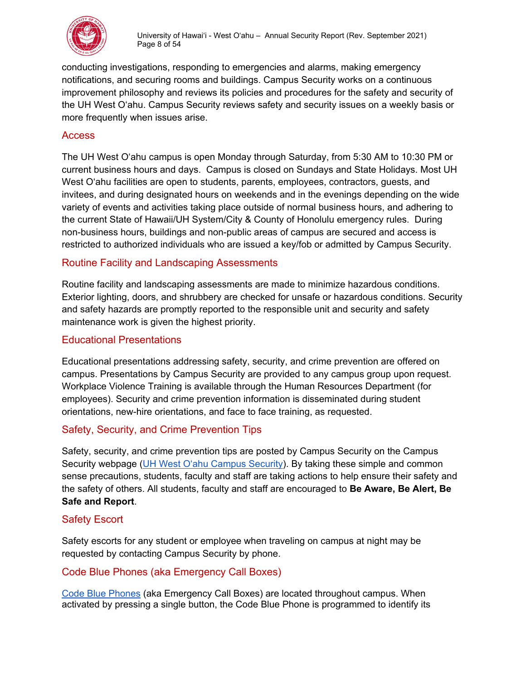

conducting investigations, responding to emergencies and alarms, making emergency notifications, and securing rooms and buildings. Campus Security works on a continuous improvement philosophy and reviews its policies and procedures for the safety and security of the UH West O'ahu. Campus Security reviews safety and security issues on a weekly basis or more frequently when issues arise.

#### <span id="page-7-0"></span>**Access**

The UH West O'ahu campus is open Monday through Saturday, from 5:30 AM to 10:30 PM or current business hours and days. Campus is closed on Sundays and State Holidays. Most UH West O'ahu facilities are open to students, parents, employees, contractors, quests, and invitees, and during designated hours on weekends and in the evenings depending on the wide variety of events and activities taking place outside of normal business hours, and adhering to the current State of Hawaii/UH System/City & County of Honolulu emergency rules. During non-business hours, buildings and non-public areas of campus are secured and access is restricted to authorized individuals who are issued a key/fob or admitted by Campus Security.

# <span id="page-7-1"></span>Routine Facility and Landscaping Assessments

Routine facility and landscaping assessments are made to minimize hazardous conditions. Exterior lighting, doors, and shrubbery are checked for unsafe or hazardous conditions. Security and safety hazards are promptly reported to the responsible unit and security and safety maintenance work is given the highest priority.

#### <span id="page-7-2"></span>Educational Presentations

Educational presentations addressing safety, security, and crime prevention are offered on campus. Presentations by Campus Security are provided to any campus group upon request. Workplace Violence Training is available through the Human Resources Department (for employees). Security and crime prevention information is disseminated during student orientations, new-hire orientations, and face to face training, as requested.

#### <span id="page-7-3"></span>Safety, Security, and Crime Prevention Tips

Safety, security, and crime prevention tips are posted by Campus Security on the Campus Security webpage [\(UH West O'ahu Campus Security\)](https://westoahu.hawaii.edu/student-experience/campus-safety/security/). By taking these simple and common sense precautions, students, faculty and staff are taking actions to help ensure their safety and the safety of others. All students, faculty and staff are encouraged to **Be Aware, Be Alert, Be Safe and Report**.

#### <span id="page-7-4"></span>Safety Escort

Safety escorts for any student or employee when traveling on campus at night may be requested by contacting Campus Security by phone.

#### <span id="page-7-5"></span>Code Blue Phones (aka Emergency Call Boxes)

[Code Blue Phones](https://westoahu.hawaii.edu/student-experience/campus-safety/security/#emergency-call-boxes) (aka Emergency Call Boxes) are located throughout campus. When activated by pressing a single button, the Code Blue Phone is programmed to identify its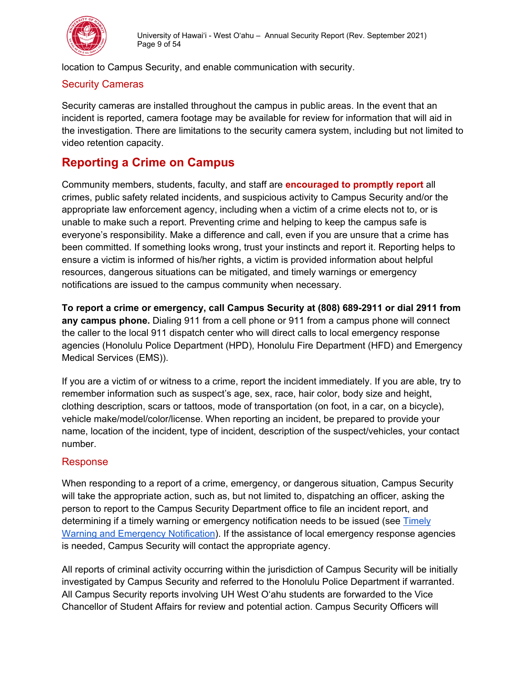

location to Campus Security, and enable communication with security.

#### <span id="page-8-0"></span>Security Cameras

Security cameras are installed throughout the campus in public areas. In the event that an incident is reported, camera footage may be available for review for information that will aid in the investigation. There are limitations to the security camera system, including but not limited to video retention capacity.

# <span id="page-8-1"></span>**Reporting a Crime on Campus**

Community members, students, faculty, and staff are **encouraged to promptly report** all crimes, public safety related incidents, and suspicious activity to Campus Security and/or the appropriate law enforcement agency, including when a victim of a crime elects not to, or is unable to make such a report. Preventing crime and helping to keep the campus safe is everyone's responsibility. Make a difference and call, even if you are unsure that a crime has been committed. If something looks wrong, trust your instincts and report it. Reporting helps to ensure a victim is informed of his/her rights, a victim is provided information about helpful resources, dangerous situations can be mitigated, and timely warnings or emergency notifications are issued to the campus community when necessary.

**To report a crime or emergency, call Campus Security at (808) 689-2911 or dial 2911 from any campus phone.** Dialing 911 from a cell phone or 911 from a campus phone will connect the caller to the local 911 dispatch center who will direct calls to local emergency response agencies (Honolulu Police Department (HPD), Honolulu Fire Department (HFD) and Emergency Medical Services (EMS)).

If you are a victim of or witness to a crime, report the incident immediately. If you are able, try to remember information such as suspect's age, sex, race, hair color, body size and height, clothing description, scars or tattoos, mode of transportation (on foot, in a car, on a bicycle), vehicle make/model/color/license. When reporting an incident, be prepared to provide your name, location of the incident, type of incident, description of the suspect/vehicles, your contact number.

#### <span id="page-8-2"></span>Response

When responding to a report of a crime, emergency, or dangerous situation, Campus Security will take the appropriate action, such as, but not limited to, dispatching an officer, asking the person to report to the Campus Security Department office to file an incident report, and determining if a timely warning or emergency notification needs to be issued (see [Timely](#page-16-4)  [Warning and Emergency Notification\)](#page-16-4). If the assistance of local emergency response agencies is needed, Campus Security will contact the appropriate agency.

All reports of criminal activity occurring within the jurisdiction of Campus Security will be initially investigated by Campus Security and referred to the Honolulu Police Department if warranted. All Campus Security reports involving UH West O'ahu students are forwarded to the Vice Chancellor of Student Affairs for review and potential action. Campus Security Officers will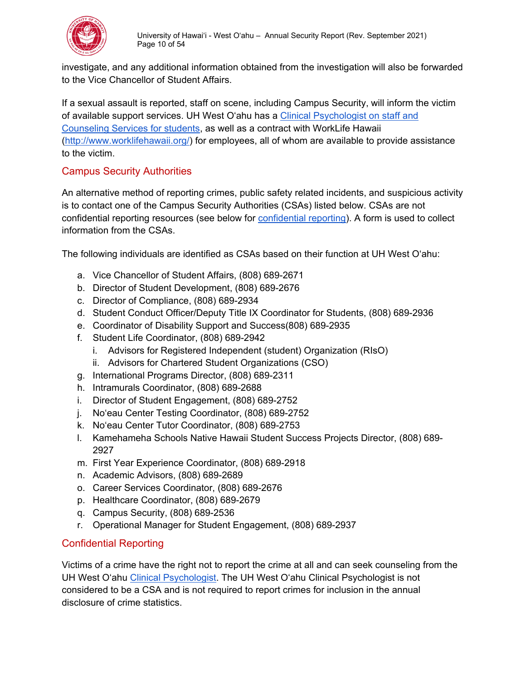

investigate, and any additional information obtained from the investigation will also be forwarded to the Vice Chancellor of Student Affairs.

If a sexual assault is reported, staff on scene, including Campus Security, will inform the victim of available support services. UH West O'ahu has a [Clinical Psychologist on staff and](https://westoahu.hawaii.edu/current-students/health-and-wellness/#counseling-services)  [Counseling Services for students,](https://westoahu.hawaii.edu/current-students/health-and-wellness/#counseling-services) as well as a contract with WorkLife Hawaii [\(http://www.worklifehawaii.org/\)](http://www.worklifehawaii.org/) for employees, all of whom are available to provide assistance to the victim.

# <span id="page-9-0"></span>Campus Security Authorities

An alternative method of reporting crimes, public safety related incidents, and suspicious activity is to contact one of the Campus Security Authorities (CSAs) listed below. CSAs are not confidential reporting resources (see below for [confidential reporting\)](#page-9-1). A form is used to collect information from the CSAs.

The following individuals are identified as CSAs based on their function at UH West O'ahu:

- a. Vice Chancellor of Student Affairs, (808) 689-2671
- b. Director of Student Development, (808) 689-2676
- c. Director of Compliance, (808) 689-2934
- d. Student Conduct Officer/Deputy Title IX Coordinator for Students, (808) 689-2936
- e. Coordinator of Disability Support and Success(808) 689-2935
- f. Student Life Coordinator, (808) 689-2942
	- i. Advisors for Registered Independent (student) Organization (RIsO)
	- ii. Advisors for Chartered Student Organizations (CSO)
- g. International Programs Director, (808) 689-2311
- h. Intramurals Coordinator, (808) 689-2688
- i. Director of Student Engagement, (808) 689-2752
- j. No'eau Center Testing Coordinator, (808) 689-2752
- k. No'eau Center Tutor Coordinator, (808) 689-2753
- l. Kamehameha Schools Native Hawaii Student Success Projects Director, (808) 689- 2927
- m. First Year Experience Coordinator, (808) 689-2918
- n. Academic Advisors, (808) 689-2689
- o. Career Services Coordinator, (808) 689-2676
- p. Healthcare Coordinator, (808) 689-2679
- q. Campus Security, (808) 689-2536
- r. Operational Manager for Student Engagement, (808) 689-2937

# <span id="page-9-1"></span>Confidential Reporting

Victims of a crime have the right not to report the crime at all and can seek counseling from the UH West O'ahu [Clinical Psychologist.](https://westoahu.hawaii.edu/current-students/health-and-wellness/#counseling-services) The UH West O'ahu Clinical Psychologist is not considered to be a CSA and is not required to report crimes for inclusion in the annual disclosure of crime statistics.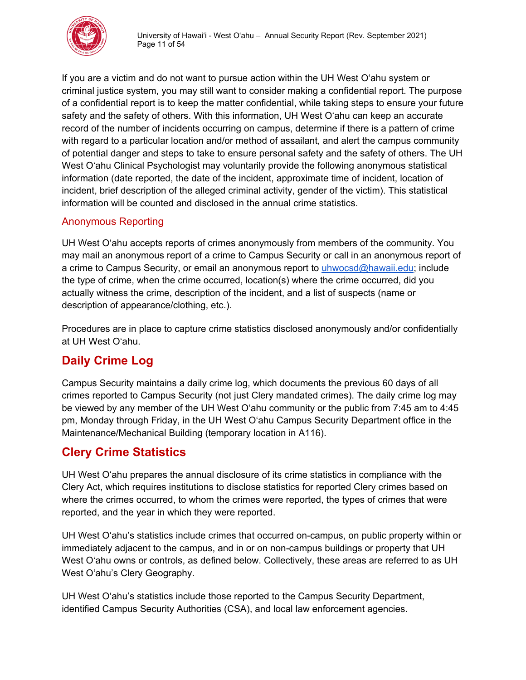

If you are a victim and do not want to pursue action within the UH West O'ahu system or criminal justice system, you may still want to consider making a confidential report. The purpose of a confidential report is to keep the matter confidential, while taking steps to ensure your future safety and the safety of others. With this information, UH West O'ahu can keep an accurate record of the number of incidents occurring on campus, determine if there is a pattern of crime with regard to a particular location and/or method of assailant, and alert the campus community of potential danger and steps to take to ensure personal safety and the safety of others. The UH West O'ahu Clinical Psychologist may voluntarily provide the following anonymous statistical information (date reported, the date of the incident, approximate time of incident, location of incident, brief description of the alleged criminal activity, gender of the victim). This statistical information will be counted and disclosed in the annual crime statistics.

# <span id="page-10-0"></span>Anonymous Reporting

UH West O'ahu accepts reports of crimes anonymously from members of the community. You may mail an anonymous report of a crime to Campus Security or call in an anonymous report of a crime to Campus Security, or email an anonymous report to [uhwocsd@hawaii.edu;](mailto:uhwocsd@hawaii.edu) include the type of crime, when the crime occurred, location(s) where the crime occurred, did you actually witness the crime, description of the incident, and a list of suspects (name or description of appearance/clothing, etc.).

Procedures are in place to capture crime statistics disclosed anonymously and/or confidentially at UH West O'ahu.

# <span id="page-10-1"></span>**Daily Crime Log**

Campus Security maintains a daily crime log, which documents the previous 60 days of all crimes reported to Campus Security (not just Clery mandated crimes). The daily crime log may be viewed by any member of the UH West O'ahu community or the public from 7:45 am to 4:45 pm, Monday through Friday, in the UH West O'ahu Campus Security Department office in the Maintenance/Mechanical Building (temporary location in A116).

# <span id="page-10-2"></span>**Clery Crime Statistics**

UH West O'ahu prepares the annual disclosure of its crime statistics in compliance with the Clery Act, which requires institutions to disclose statistics for reported Clery crimes based on where the crimes occurred, to whom the crimes were reported, the types of crimes that were reported, and the year in which they were reported.

UH West O'ahu's statistics include crimes that occurred on-campus, on public property within or immediately adjacent to the campus, and in or on non-campus buildings or property that UH West O'ahu owns or controls, as defined below. Collectively, these areas are referred to as UH West O'ahu's Clery Geography.

UH West O'ahu's statistics include those reported to the Campus Security Department, identified Campus Security Authorities (CSA), and local law enforcement agencies.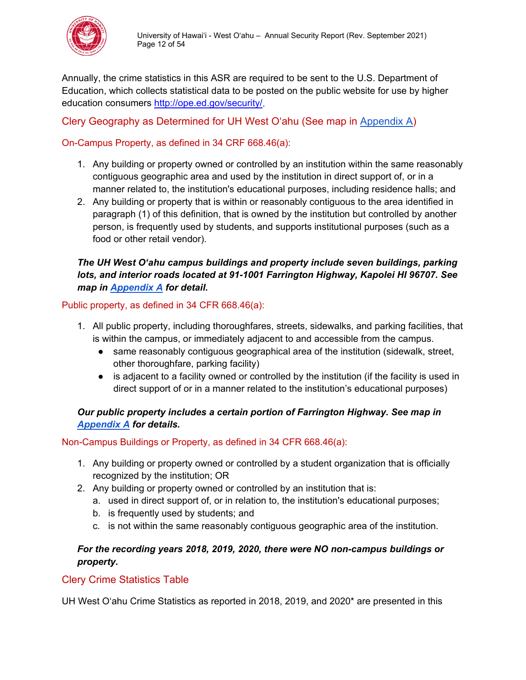

Annually, the crime statistics in this ASR are required to be sent to the U.S. Department of Education, which collects statistical data to be posted on the public website for use by higher education consumers [http://ope.ed.gov/security/.](http://ope.ed.gov/security/)

<span id="page-11-0"></span>Clery Geography as Determined for UH West O'ahu (See map in [Appendix A\)](#page-43-0)

# <span id="page-11-1"></span>On-Campus Property, as defined in 34 CRF 668.46(a):

- 1. Any building or property owned or controlled by an institution within the same reasonably contiguous geographic area and used by the institution in direct support of, or in a manner related to, the institution's educational purposes, including residence halls; and
- 2. Any building or property that is within or reasonably contiguous to the area identified in paragraph (1) of this definition, that is owned by the institution but controlled by another person, is frequently used by students, and supports institutional purposes (such as a food or other retail vendor).

#### *The UH West O'ahu campus buildings and property include seven buildings, parking lots, and interior roads located at 91-1001 Farrington Highway, Kapolei HI 96707. See map in [Appendix A](#page-43-0) for detail.*

<span id="page-11-2"></span>Public property, as defined in 34 CFR 668.46(a):

- 1. All public property, including thoroughfares, streets, sidewalks, and parking facilities, that is within the campus, or immediately adjacent to and accessible from the campus.
	- same reasonably contiguous geographical area of the institution (sidewalk, street, other thoroughfare, parking facility)
	- is adjacent to a facility owned or controlled by the institution (if the facility is used in direct support of or in a manner related to the institution's educational purposes)

#### *Our public property includes a certain portion of Farrington Highway. See map in [Appendix A](#page-43-0) for details.*

<span id="page-11-3"></span>Non-Campus Buildings or Property, as defined in 34 CFR 668.46(a):

- 1. Any building or property owned or controlled by a student organization that is officially recognized by the institution; OR
- 2. Any building or property owned or controlled by an institution that is:
	- a. used in direct support of, or in relation to, the institution's educational purposes;
	- b. is frequently used by students; and
	- c. is not within the same reasonably contiguous geographic area of the institution.

#### *For the recording years 2018, 2019, 2020, there were NO non-campus buildings or property.*

# <span id="page-11-4"></span>Clery Crime Statistics Table

UH West O'ahu Crime Statistics as reported in 2018, 2019, and 2020\* are presented in this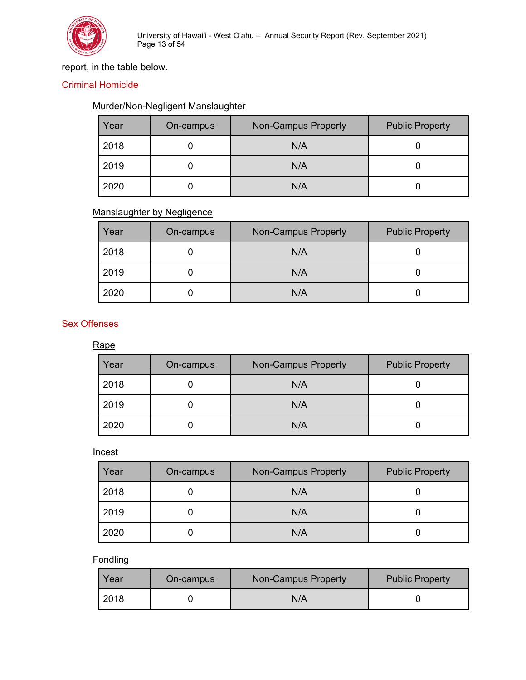

# report, in the table below.

#### <span id="page-12-0"></span>Criminal Homicide

#### Murder/Non-Negligent Manslaughter

| Year | On-campus | <b>Non-Campus Property</b> | <b>Public Property</b> |
|------|-----------|----------------------------|------------------------|
| 2018 |           | N/A                        |                        |
| 2019 |           | N/A                        |                        |
| 2020 |           | N/A                        |                        |

#### Manslaughter by Negligence

| Year | On-campus | <b>Non-Campus Property</b> | <b>Public Property</b> |
|------|-----------|----------------------------|------------------------|
| 2018 |           | N/A                        |                        |
| 2019 |           | N/A                        |                        |
| 2020 |           | N/A                        |                        |

#### <span id="page-12-1"></span>Sex Offenses

Rape

| Year | On-campus | <b>Non-Campus Property</b> | <b>Public Property</b> |
|------|-----------|----------------------------|------------------------|
| 2018 |           | N/A                        |                        |
| 2019 |           | N/A                        |                        |
| 2020 |           | N/A                        |                        |

#### **Incest**

| Year | On-campus | <b>Non-Campus Property</b> | <b>Public Property</b> |
|------|-----------|----------------------------|------------------------|
| 2018 |           | N/A                        |                        |
| 2019 |           | N/A                        |                        |
| 2020 |           | N/A                        |                        |

# **Fondling**

| Year | On-campus | Non-Campus Property | <b>Public Property</b> |
|------|-----------|---------------------|------------------------|
| 2018 |           | N/A                 |                        |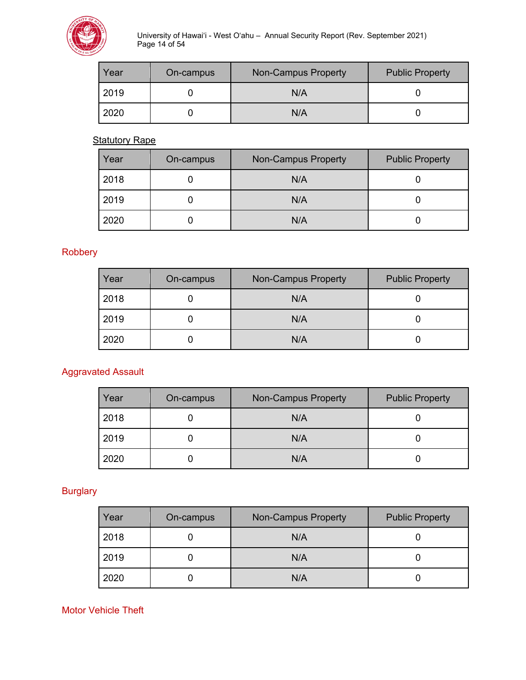

University of Hawai'i - West O'ahu – Annual Security Report (Rev. September 2021) Page 14 of 54

| Year | On-campus | Non-Campus Property | <b>Public Property</b> |
|------|-----------|---------------------|------------------------|
| 2019 |           | N/A                 |                        |
| 2020 |           | N/A                 |                        |

**Statutory Rape** 

| Year | On-campus | <b>Non-Campus Property</b> | <b>Public Property</b> |
|------|-----------|----------------------------|------------------------|
| 2018 |           | N/A                        |                        |
| 2019 |           | N/A                        |                        |
| 2020 |           | N/A                        |                        |

<span id="page-13-0"></span>Robbery

| Year | On-campus | <b>Non-Campus Property</b> | <b>Public Property</b> |
|------|-----------|----------------------------|------------------------|
| 2018 |           | N/A                        |                        |
| 2019 |           | N/A                        |                        |
| 2020 |           | N/A                        |                        |

# <span id="page-13-1"></span>Aggravated Assault

| Year | On-campus | <b>Non-Campus Property</b> | <b>Public Property</b> |
|------|-----------|----------------------------|------------------------|
| 2018 |           | N/A                        |                        |
| 2019 |           | N/A                        |                        |
| 2020 |           | N/A                        |                        |

# <span id="page-13-2"></span>**Burglary**

| Year | On-campus | <b>Non-Campus Property</b> | <b>Public Property</b> |
|------|-----------|----------------------------|------------------------|
| 2018 |           | N/A                        |                        |
| 2019 |           | N/A                        |                        |
| 2020 |           | N/A                        |                        |

#### <span id="page-13-3"></span>Motor Vehicle Theft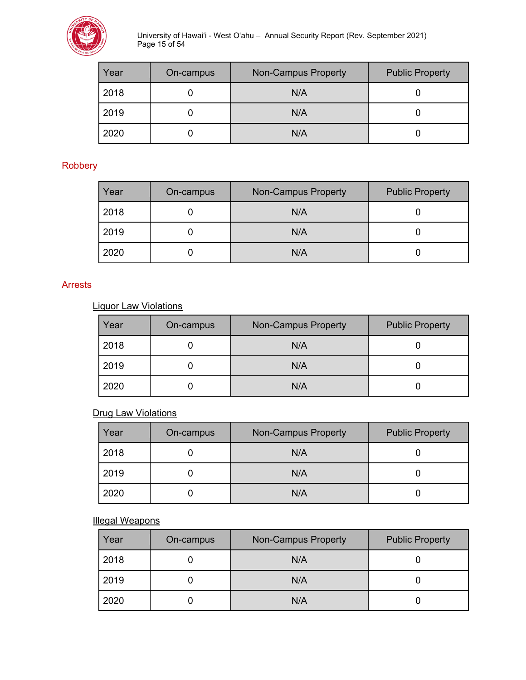

University of Hawai'i - West O'ahu – Annual Security Report (Rev. September 2021) Page 15 of 54

| Year | On-campus | <b>Non-Campus Property</b> | <b>Public Property</b> |
|------|-----------|----------------------------|------------------------|
| 2018 |           | N/A                        |                        |
| 2019 |           | N/A                        |                        |
| 2020 |           | N/A                        |                        |

#### <span id="page-14-0"></span>Robbery

| Year | On-campus | <b>Non-Campus Property</b> | <b>Public Property</b> |
|------|-----------|----------------------------|------------------------|
| 2018 |           | N/A                        |                        |
| 2019 |           | N/A                        |                        |
| 2020 |           | N/A                        |                        |

#### <span id="page-14-1"></span>Arrests

Liquor Law Violations

| Year | On-campus | <b>Non-Campus Property</b> | <b>Public Property</b> |
|------|-----------|----------------------------|------------------------|
| 2018 |           | N/A                        |                        |
| 2019 |           | N/A                        |                        |
| 2020 |           | N/A                        |                        |

#### **Drug Law Violations**

| Year | On-campus | <b>Non-Campus Property</b> | <b>Public Property</b> |
|------|-----------|----------------------------|------------------------|
| 2018 |           | N/A                        |                        |
| 2019 |           | N/A                        |                        |
| 2020 |           | N/A                        |                        |

Illegal Weapons

| Year | On-campus | <b>Non-Campus Property</b> | <b>Public Property</b> |
|------|-----------|----------------------------|------------------------|
| 2018 |           | N/A                        |                        |
| 2019 |           | N/A                        |                        |
| 2020 |           | N/A                        |                        |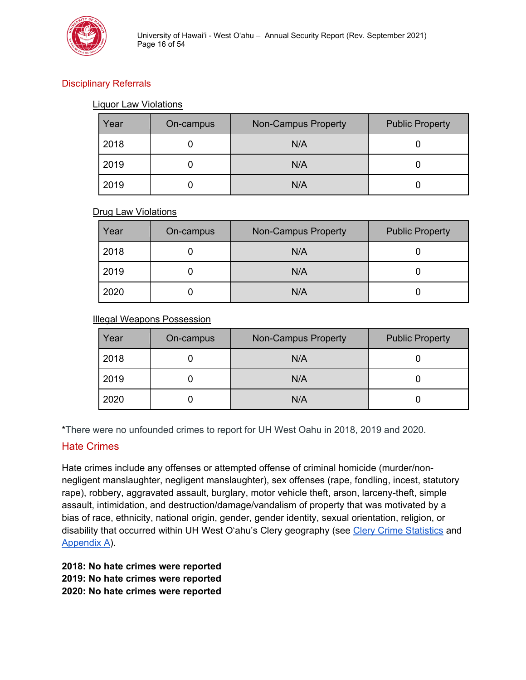

# <span id="page-15-0"></span>Disciplinary Referrals

#### Liquor Law Violations

| Year | On-campus | <b>Non-Campus Property</b> | <b>Public Property</b> |
|------|-----------|----------------------------|------------------------|
| 2018 |           | N/A                        |                        |
| 2019 |           | N/A                        |                        |
| 2019 |           | N/A                        |                        |

#### Drug Law Violations

| Year | On-campus | <b>Non-Campus Property</b> | <b>Public Property</b> |
|------|-----------|----------------------------|------------------------|
| 2018 |           | N/A                        |                        |
| 2019 |           | N/A                        |                        |
| 2020 |           | N/A                        |                        |

#### Illegal Weapons Possession

| Year | On-campus | <b>Non-Campus Property</b> | <b>Public Property</b> |
|------|-----------|----------------------------|------------------------|
| 2018 |           | N/A                        |                        |
| 2019 |           | N/A                        |                        |
| 2020 |           | N/A                        |                        |

\*There were no unfounded crimes to report for UH West Oahu in 2018, 2019 and 2020.

#### <span id="page-15-1"></span>Hate Crimes

Hate crimes include any offenses or attempted offense of criminal homicide (murder/nonnegligent manslaughter, negligent manslaughter), sex offenses (rape, fondling, incest, statutory rape), robbery, aggravated assault, burglary, motor vehicle theft, arson, larceny-theft, simple assault, intimidation, and destruction/damage/vandalism of property that was motivated by a bias of race, ethnicity, national origin, gender, gender identity, sexual orientation, religion, or disability that occurred within UH West O'ahu's Clery geography (see [Clery Crime Statistics](#page-10-2) and [Appendix A\)](#page-43-0).

**2018: No hate crimes were reported 2019: No hate crimes were reported 2020: No hate crimes were reported**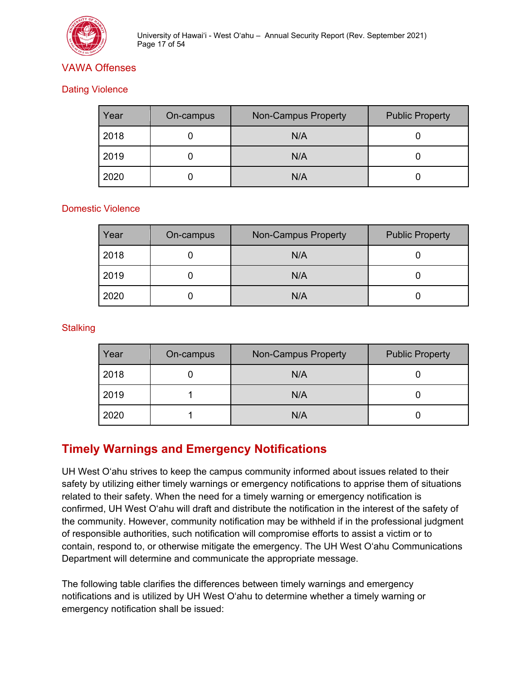

# <span id="page-16-0"></span>VAWA Offenses

#### <span id="page-16-1"></span>Dating Violence

| Year | On-campus | <b>Non-Campus Property</b> | <b>Public Property</b> |
|------|-----------|----------------------------|------------------------|
| 2018 |           | N/A                        |                        |
| 2019 |           | N/A                        |                        |
| 2020 |           | N/A                        |                        |

#### <span id="page-16-2"></span>Domestic Violence

| Year | On-campus | <b>Non-Campus Property</b> | <b>Public Property</b> |
|------|-----------|----------------------------|------------------------|
| 2018 |           | N/A                        |                        |
| 2019 |           | N/A                        |                        |
| 2020 |           | N/A                        |                        |

#### <span id="page-16-3"></span>**Stalking**

| Year | On-campus | <b>Non-Campus Property</b> | <b>Public Property</b> |
|------|-----------|----------------------------|------------------------|
| 2018 |           | N/A                        |                        |
| 2019 |           | N/A                        |                        |
| 2020 |           | N/A                        |                        |

# <span id="page-16-4"></span>**Timely Warnings and Emergency Notifications**

UH West O'ahu strives to keep the campus community informed about issues related to their safety by utilizing either timely warnings or emergency notifications to apprise them of situations related to their safety. When the need for a timely warning or emergency notification is confirmed, UH West O'ahu will draft and distribute the notification in the interest of the safety of the community. However, community notification may be withheld if in the professional judgment of responsible authorities, such notification will compromise efforts to assist a victim or to contain, respond to, or otherwise mitigate the emergency. The UH West O'ahu Communications Department will determine and communicate the appropriate message.

The following table clarifies the differences between timely warnings and emergency notifications and is utilized by UH West O'ahu to determine whether a timely warning or emergency notification shall be issued: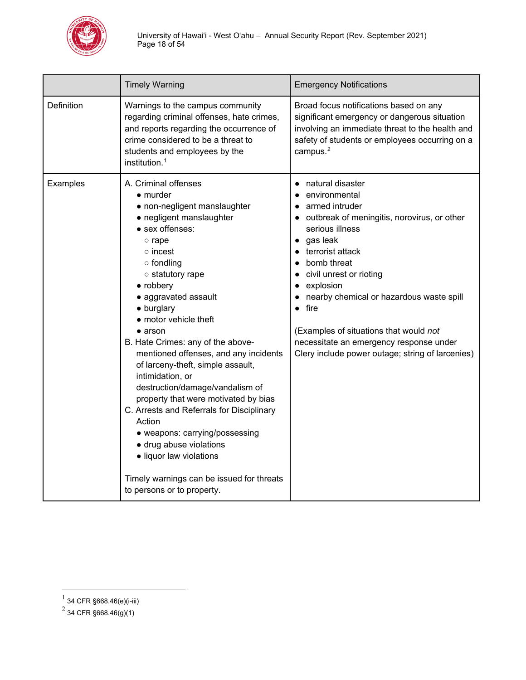

|            | <b>Timely Warning</b>                                                                                                                                                                                                                                                                                                                                                                                                                                                                                                                                                                                                                                                                                                                        | <b>Emergency Notifications</b>                                                                                                                                                                                                                                                                                                                                                                                                                                |
|------------|----------------------------------------------------------------------------------------------------------------------------------------------------------------------------------------------------------------------------------------------------------------------------------------------------------------------------------------------------------------------------------------------------------------------------------------------------------------------------------------------------------------------------------------------------------------------------------------------------------------------------------------------------------------------------------------------------------------------------------------------|---------------------------------------------------------------------------------------------------------------------------------------------------------------------------------------------------------------------------------------------------------------------------------------------------------------------------------------------------------------------------------------------------------------------------------------------------------------|
| Definition | Warnings to the campus community<br>regarding criminal offenses, hate crimes,<br>and reports regarding the occurrence of<br>crime considered to be a threat to<br>students and employees by the<br>institution. <sup>1</sup>                                                                                                                                                                                                                                                                                                                                                                                                                                                                                                                 | Broad focus notifications based on any<br>significant emergency or dangerous situation<br>involving an immediate threat to the health and<br>safety of students or employees occurring on a<br>campus. <sup>2</sup>                                                                                                                                                                                                                                           |
| Examples   | A. Criminal offenses<br>$\bullet$ murder<br>• non-negligent manslaughter<br>• negligent manslaughter<br>• sex offenses:<br>$\circ$ rape<br>$\circ$ incest<br>$\circ$ fondling<br>o statutory rape<br>• robbery<br>• aggravated assault<br>• burglary<br>• motor vehicle theft<br>$\bullet$ arson<br>B. Hate Crimes: any of the above-<br>mentioned offenses, and any incidents<br>of larceny-theft, simple assault,<br>intimidation, or<br>destruction/damage/vandalism of<br>property that were motivated by bias<br>C. Arrests and Referrals for Disciplinary<br>Action<br>• weapons: carrying/possessing<br>· drug abuse violations<br>· liquor law violations<br>Timely warnings can be issued for threats<br>to persons or to property. | natural disaster<br>$\bullet$<br>environmental<br>$\bullet$<br>armed intruder<br>outbreak of meningitis, norovirus, or other<br>serious illness<br>gas leak<br>terrorist attack<br>bomb threat<br>$\bullet$<br>civil unrest or rioting<br>$\bullet$<br>explosion<br>nearby chemical or hazardous waste spill<br>fire<br>(Examples of situations that would not<br>necessitate an emergency response under<br>Clery include power outage; string of larcenies) |

<span id="page-17-0"></span> $^{\rm 1}$  34 CFR §668.46(e)(i-iii)

<span id="page-17-1"></span> $^2$  34 CFR §668.46(g)(1)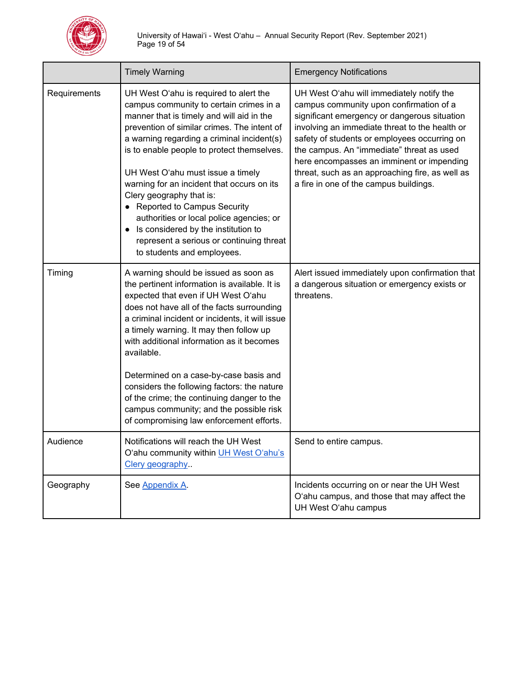

|              | <b>Timely Warning</b>                                                                                                                                                                                                                                                                                                                                                                                                                                                                                                                                                                    | <b>Emergency Notifications</b>                                                                                                                                                                                                                                                                                                                                                                                                |
|--------------|------------------------------------------------------------------------------------------------------------------------------------------------------------------------------------------------------------------------------------------------------------------------------------------------------------------------------------------------------------------------------------------------------------------------------------------------------------------------------------------------------------------------------------------------------------------------------------------|-------------------------------------------------------------------------------------------------------------------------------------------------------------------------------------------------------------------------------------------------------------------------------------------------------------------------------------------------------------------------------------------------------------------------------|
| Requirements | UH West O'ahu is required to alert the<br>campus community to certain crimes in a<br>manner that is timely and will aid in the<br>prevention of similar crimes. The intent of<br>a warning regarding a criminal incident(s)<br>is to enable people to protect themselves.<br>UH West O'ahu must issue a timely<br>warning for an incident that occurs on its<br>Clery geography that is:<br>• Reported to Campus Security<br>authorities or local police agencies; or<br>• Is considered by the institution to<br>represent a serious or continuing threat<br>to students and employees. | UH West O'ahu will immediately notify the<br>campus community upon confirmation of a<br>significant emergency or dangerous situation<br>involving an immediate threat to the health or<br>safety of students or employees occurring on<br>the campus. An "immediate" threat as used<br>here encompasses an imminent or impending<br>threat, such as an approaching fire, as well as<br>a fire in one of the campus buildings. |
| Timing       | A warning should be issued as soon as<br>the pertinent information is available. It is<br>expected that even if UH West O'ahu<br>does not have all of the facts surrounding<br>a criminal incident or incidents, it will issue<br>a timely warning. It may then follow up<br>with additional information as it becomes<br>available.                                                                                                                                                                                                                                                     | Alert issued immediately upon confirmation that<br>a dangerous situation or emergency exists or<br>threatens.                                                                                                                                                                                                                                                                                                                 |
|              | Determined on a case-by-case basis and<br>considers the following factors: the nature<br>of the crime; the continuing danger to the<br>campus community; and the possible risk<br>of compromising law enforcement efforts.                                                                                                                                                                                                                                                                                                                                                               |                                                                                                                                                                                                                                                                                                                                                                                                                               |
| Audience     | Notifications will reach the UH West<br>O'ahu community within UH West O'ahu's<br>Clery geography                                                                                                                                                                                                                                                                                                                                                                                                                                                                                        | Send to entire campus.                                                                                                                                                                                                                                                                                                                                                                                                        |
| Geography    | See Appendix A.                                                                                                                                                                                                                                                                                                                                                                                                                                                                                                                                                                          | Incidents occurring on or near the UH West<br>O'ahu campus, and those that may affect the<br>UH West O'ahu campus                                                                                                                                                                                                                                                                                                             |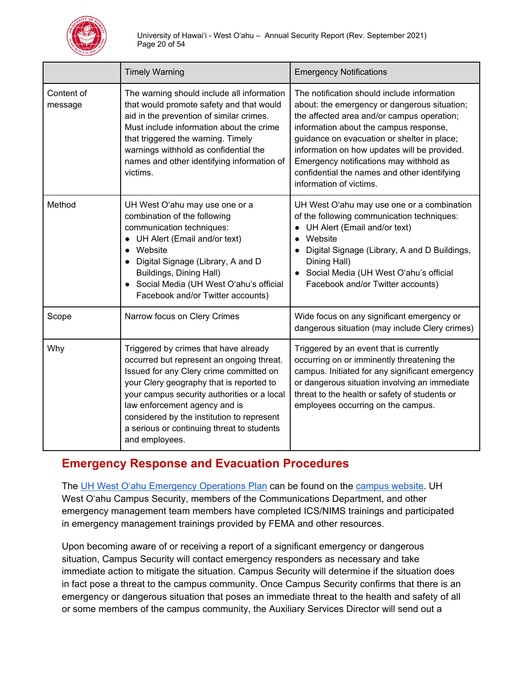

|                       | <b>Timely Warning</b>                                                                                                                                                                                                                                                                                                                                                   | <b>Emergency Notifications</b>                                                                                                                                                                                                                                                                                                                                                                           |
|-----------------------|-------------------------------------------------------------------------------------------------------------------------------------------------------------------------------------------------------------------------------------------------------------------------------------------------------------------------------------------------------------------------|----------------------------------------------------------------------------------------------------------------------------------------------------------------------------------------------------------------------------------------------------------------------------------------------------------------------------------------------------------------------------------------------------------|
| Content of<br>message | The warning should include all information<br>that would promote safety and that would<br>aid in the prevention of similar crimes.<br>Must include information about the crime<br>that triggered the warning. Timely<br>warnings withhold as confidential the<br>names and other identifying information of<br>victims.                                                 | The notification should include information<br>about: the emergency or dangerous situation;<br>the affected area and/or campus operation;<br>information about the campus response,<br>guidance on evacuation or shelter in place;<br>information on how updates will be provided.<br>Emergency notifications may withhold as<br>confidential the names and other identifying<br>information of victims. |
| Method                | UH West O'ahu may use one or a<br>combination of the following<br>communication techniques:<br>UH Alert (Email and/or text)<br>Website<br>$\bullet$<br>Digital Signage (Library, A and D<br>Buildings, Dining Hall)<br>Social Media (UH West O'ahu's official<br>Facebook and/or Twitter accounts)                                                                      | UH West O'ahu may use one or a combination<br>of the following communication techniques:<br>UH Alert (Email and/or text)<br>$\bullet$<br>Website<br>Digital Signage (Library, A and D Buildings,<br>Dining Hall)<br>• Social Media (UH West O'ahu's official<br>Facebook and/or Twitter accounts)                                                                                                        |
| Scope                 | Narrow focus on Clery Crimes                                                                                                                                                                                                                                                                                                                                            | Wide focus on any significant emergency or<br>dangerous situation (may include Clery crimes)                                                                                                                                                                                                                                                                                                             |
| Why                   | Triggered by crimes that have already<br>occurred but represent an ongoing threat.<br>Issued for any Clery crime committed on<br>your Clery geography that is reported to<br>your campus security authorities or a local<br>law enforcement agency and is<br>considered by the institution to represent<br>a serious or continuing threat to students<br>and employees. | Triggered by an event that is currently<br>occurring on or imminently threatening the<br>campus. Initiated for any significant emergency<br>or dangerous situation involving an immediate<br>threat to the health or safety of students or<br>employees occurring on the campus.                                                                                                                         |

# <span id="page-19-0"></span>**Emergency Response and Evacuation Procedures**

The [UH West O'ahu](https://westoahu.hawaii.edu/wp-content/uploads/docs/security/UHWO_EOP_2020.pdf) [Emergency Operations Plan](https://westoahu.hawaii.edu/wp-content/uploads/docs/security/UHWO_EOP_2020.pdf) can be found on the [campus website.](https://westoahu.hawaii.edu/student-experience/campus-safety/#emergency-management-) UH West O'ahu Campus Security, members of the Communications Department, and other emergency management team members have completed ICS/NIMS trainings and participated in emergency management trainings provided by FEMA and other resources.

Upon becoming aware of or receiving a report of a significant emergency or dangerous situation, Campus Security will contact emergency responders as necessary and take immediate action to mitigate the situation. Campus Security will determine if the situation does in fact pose a threat to the campus community. Once Campus Security confirms that there is an emergency or dangerous situation that poses an immediate threat to the health and safety of all or some members of the campus community, the Auxiliary Services Director will send out a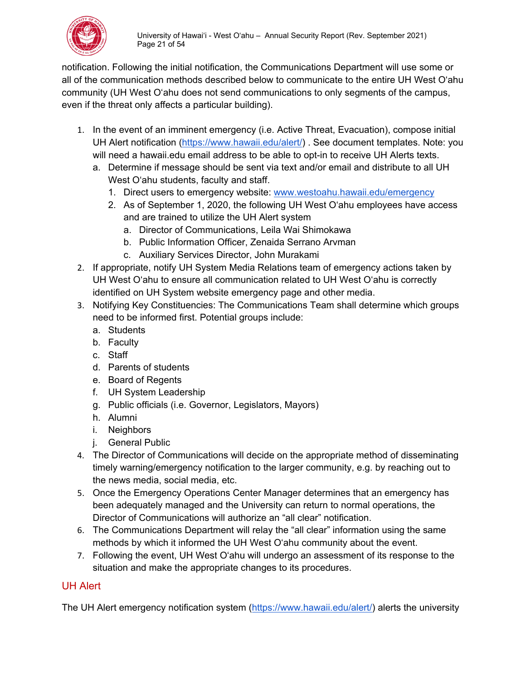

notification. Following the initial notification, the Communications Department will use some or all of the communication methods described below to communicate to the entire UH West O'ahu community (UH West O'ahu does not send communications to only segments of the campus, even if the threat only affects a particular building).

- 1. In the event of an imminent emergency (i.e. Active Threat, Evacuation), compose initial UH Alert notification [\(https://www.hawaii.edu/alert/\)](https://www.hawaii.edu/alert/) . See document templates. Note: you will need a hawaii.edu email address to be able to opt-in to receive UH Alerts texts.
	- a. Determine if message should be sent via text and/or email and distribute to all UH West O'ahu students, faculty and staff.
		- 1. Direct users to emergency website: [www.westoahu.hawaii.edu/emergency](http://www.westoahu.hawaii.edu/emergency)
		- 2. As of September 1, 2020, the following UH West O'ahu employees have access and are trained to utilize the UH Alert system
			- a. Director of Communications, Leila Wai Shimokawa
			- b. Public Information Officer, Zenaida Serrano Arvman
			- c. Auxiliary Services Director, John Murakami
- 2. If appropriate, notify UH System Media Relations team of emergency actions taken by UH West O'ahu to ensure all communication related to UH West O'ahu is correctly identified on UH System website emergency page and other media.
- 3. Notifying Key Constituencies: The Communications Team shall determine which groups need to be informed first. Potential groups include:
	- a. Students
	- b. Faculty
	- c. Staff
	- d. Parents of students
	- e. Board of Regents
	- f. UH System Leadership
	- g. Public officials (i.e. Governor, Legislators, Mayors)
	- h. Alumni
	- i. Neighbors
	- j. General Public
- 4. The Director of Communications will decide on the appropriate method of disseminating timely warning/emergency notification to the larger community, e.g. by reaching out to the news media, social media, etc.
- 5. Once the Emergency Operations Center Manager determines that an emergency has been adequately managed and the University can return to normal operations, the Director of Communications will authorize an "all clear" notification.
- 6. The Communications Department will relay the "all clear" information using the same methods by which it informed the UH West O'ahu community about the event.
- 7. Following the event, UH West O'ahu will undergo an assessment of its response to the situation and make the appropriate changes to its procedures.

# <span id="page-20-0"></span>UH Alert

The UH Alert emergency notification system [\(https://www.hawaii.edu/alert/\)](https://www.hawaii.edu/alert/) alerts the university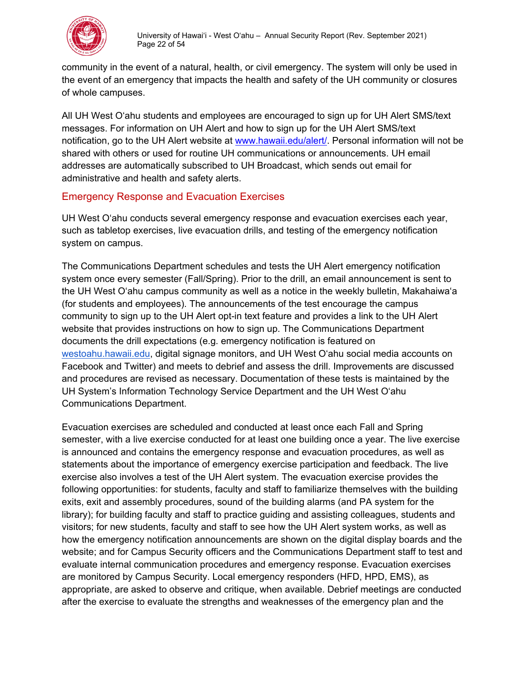

community in the event of a natural, health, or civil emergency. The system will only be used in the event of an emergency that impacts the health and safety of the UH community or closures of whole campuses.

All UH West O'ahu students and employees are encouraged to sign up for UH Alert SMS/text messages. For information on UH Alert and how to sign up for the UH Alert SMS/text notification, go to the UH Alert website at [www.hawaii.edu/alert/.](http://www.hawaii.edu/alert/) Personal information will not be shared with others or used for routine UH communications or announcements. UH email addresses are automatically subscribed to UH Broadcast, which sends out email for administrative and health and safety alerts.

# <span id="page-21-0"></span>Emergency Response and Evacuation Exercises

UH West O'ahu conducts several emergency response and evacuation exercises each year, such as tabletop exercises, live evacuation drills, and testing of the emergency notification system on campus.

The Communications Department schedules and tests the UH Alert emergency notification system once every semester (Fall/Spring). Prior to the drill, an email announcement is sent to the UH West O'ahu campus community as well as a notice in the weekly bulletin, Makahaiwaʻa (for students and employees). The announcements of the test encourage the campus community to sign up to the UH Alert opt-in text feature and provides a link to the UH Alert website that provides instructions on how to sign up. The Communications Department documents the drill expectations (e.g. emergency notification is featured on [westoahu.hawaii.edu,](http://westoahu.hawaii.edu/) digital signage monitors, and UH West O'ahu social media accounts on Facebook and Twitter) and meets to debrief and assess the drill. Improvements are discussed and procedures are revised as necessary. Documentation of these tests is maintained by the UH System's Information Technology Service Department and the UH West O'ahu Communications Department.

Evacuation exercises are scheduled and conducted at least once each Fall and Spring semester, with a live exercise conducted for at least one building once a year. The live exercise is announced and contains the emergency response and evacuation procedures, as well as statements about the importance of emergency exercise participation and feedback. The live exercise also involves a test of the UH Alert system. The evacuation exercise provides the following opportunities: for students, faculty and staff to familiarize themselves with the building exits, exit and assembly procedures, sound of the building alarms (and PA system for the library); for building faculty and staff to practice guiding and assisting colleagues, students and visitors; for new students, faculty and staff to see how the UH Alert system works, as well as how the emergency notification announcements are shown on the digital display boards and the website; and for Campus Security officers and the Communications Department staff to test and evaluate internal communication procedures and emergency response. Evacuation exercises are monitored by Campus Security. Local emergency responders (HFD, HPD, EMS), as appropriate, are asked to observe and critique, when available. Debrief meetings are conducted after the exercise to evaluate the strengths and weaknesses of the emergency plan and the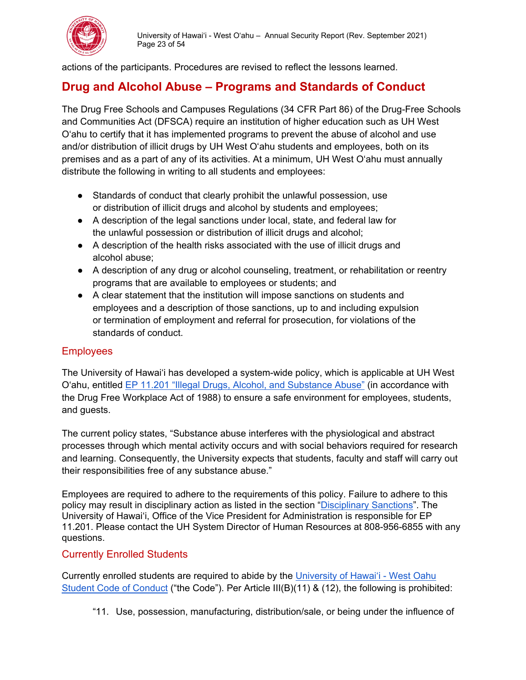

actions of the participants. Procedures are revised to reflect the lessons learned.

# <span id="page-22-0"></span>**Drug and Alcohol Abuse – Programs and Standards of Conduct**

The Drug Free Schools and Campuses Regulations (34 CFR Part 86) of the Drug-Free Schools and Communities Act (DFSCA) require an institution of higher education such as UH West O'ahu to certify that it has implemented programs to prevent the abuse of alcohol and use and/or distribution of illicit drugs by UH West O'ahu students and employees, both on its premises and as a part of any of its activities. At a minimum, UH West O'ahu must annually distribute the following in writing to all students and employees:

- Standards of conduct that clearly prohibit the unlawful possession, use or distribution of illicit drugs and alcohol by students and employees;
- A description of the legal sanctions under local, state, and federal law for the unlawful possession or distribution of illicit drugs and alcohol;
- A description of the health risks associated with the use of illicit drugs and alcohol abuse;
- A description of any drug or alcohol counseling, treatment, or rehabilitation or reentry programs that are available to employees or students; and
- A clear statement that the institution will impose sanctions on students and employees and a description of those sanctions, up to and including expulsion or termination of employment and referral for prosecution, for violations of the standards of conduct.

# <span id="page-22-1"></span>**Employees**

The University of Hawai'i has developed a system-wide policy, which is applicable at UH West O'ahu, entitled [EP 11.201 "Illegal Drugs, Alcohol, and Substance Abuse"](https://www.hawaii.edu/policy/?action=viewPolicy&policySection=ep&policyChapter=11&policyNumber=201&menuView=closed) (in accordance with the Drug Free Workplace Act of 1988) to ensure a safe environment for employees, students, and guests.

The current policy states, "Substance abuse interferes with the physiological and abstract processes through which mental activity occurs and with social behaviors required for research and learning. Consequently, the University expects that students, faculty and staff will carry out their responsibilities free of any substance abuse."

Employees are required to adhere to the requirements of this policy. Failure to adhere to this policy may result in disciplinary action as listed in the section ["Disciplinary Sanctions"](#page-23-1). The University of Hawai'i, Office of the Vice President for Administration is responsible for EP 11.201. Please contact the UH System Director of Human Resources at 808-956-6855 with any questions.

#### <span id="page-22-2"></span>Currently Enrolled Students

Currently enrolled students are required to abide by the [University of Hawai'i - West Oahu](https://westoahu.hawaii.edu/studentconduct/)  [Student Code of Conduct](https://westoahu.hawaii.edu/studentconduct/) ("the Code"). Per Article III(B)(11) & (12), the following is prohibited:

"11. Use, possession, manufacturing, distribution/sale, or being under the influence of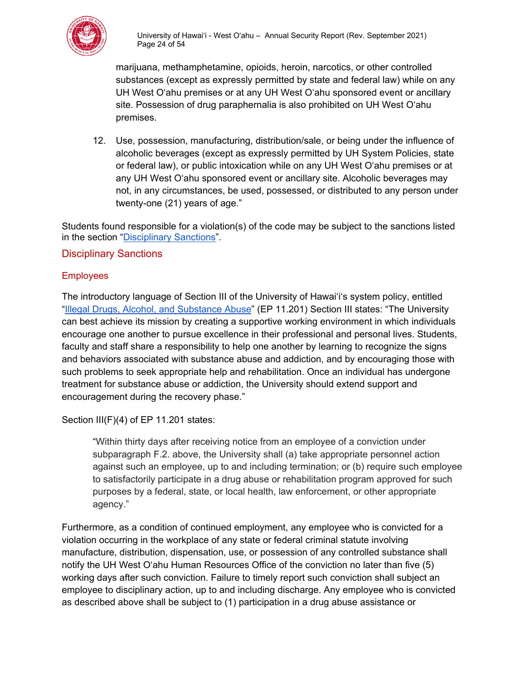

marijuana, methamphetamine, opioids, heroin, narcotics, or other controlled substances (except as expressly permitted by state and federal law) while on any UH West Oʻahu premises or at any UH West Oʻahu sponsored event or ancillary site. Possession of drug paraphernalia is also prohibited on UH West Oʻahu premises.

12. Use, possession, manufacturing, distribution/sale, or being under the influence of alcoholic beverages (except as expressly permitted by UH System Policies, state or federal law), or public intoxication while on any UH West Oʻahu premises or at any UH West Oʻahu sponsored event or ancillary site. Alcoholic beverages may not, in any circumstances, be used, possessed, or distributed to any person under twenty-one (21) years of age."

Students found responsible for a violation(s) of the code may be subject to the sanctions listed in the section ["Disciplinary Sanctions"](#page-24-0).

#### <span id="page-23-0"></span>Disciplinary Sanctions

#### <span id="page-23-1"></span>**Employees**

The introductory language of Section III of the University of Hawai'iʻs system policy, entitled ["Illegal Drugs, Alcohol, and Substance Abuse"](http://www0.hawaii.edu/policy/index.php?action=viewPolicy&policySection=ep&policyChapter=11&policyNumber=201&menuView=closed) (EP 11.201) Section III states: "The University can best achieve its mission by creating a supportive working environment in which individuals encourage one another to pursue excellence in their professional and personal lives. Students, faculty and staff share a responsibility to help one another by learning to recognize the signs and behaviors associated with substance abuse and addiction, and by encouraging those with such problems to seek appropriate help and rehabilitation. Once an individual has undergone treatment for substance abuse or addiction, the University should extend support and encouragement during the recovery phase."

Section III(F)(4) of EP 11.201 states:

"Within thirty days after receiving notice from an employee of a conviction under subparagraph F.2. above, the University shall (a) take appropriate personnel action against such an employee, up to and including termination; or (b) require such employee to satisfactorily participate in a drug abuse or rehabilitation program approved for such purposes by a federal, state, or local health, law enforcement, or other appropriate agency."

Furthermore, as a condition of continued employment, any employee who is convicted for a violation occurring in the workplace of any state or federal criminal statute involving manufacture, distribution, dispensation, use, or possession of any controlled substance shall notify the UH West O'ahu Human Resources Office of the conviction no later than five (5) working days after such conviction. Failure to timely report such conviction shall subject an employee to disciplinary action, up to and including discharge. Any employee who is convicted as described above shall be subject to (1) participation in a drug abuse assistance or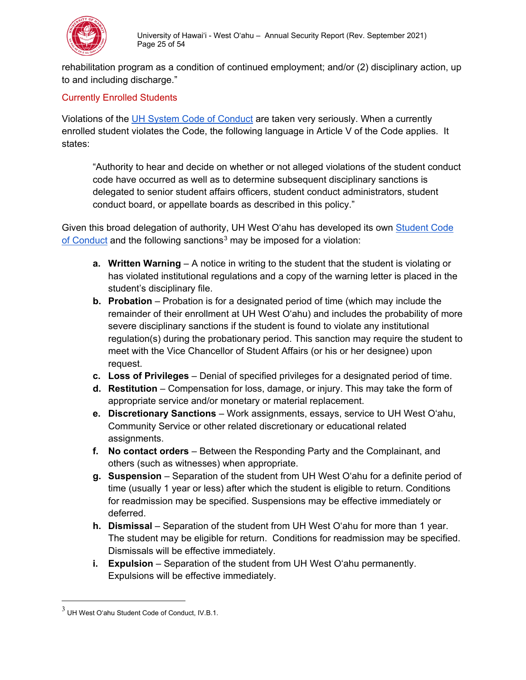

rehabilitation program as a condition of continued employment; and/or (2) disciplinary action, up to and including discharge."

#### <span id="page-24-0"></span>Currently Enrolled Students

Violations of the [UH System Code of Conduct](http://www0.hawaii.edu/policy/?action=viewPolicy&policySection=ep&policyChapter=7&policyNumber=208) are taken very seriously. When a currently enrolled student violates the Code, the following language in Article V of the Code applies. It states:

"Authority to hear and decide on whether or not alleged violations of the student conduct code have occurred as well as to determine subsequent disciplinary sanctions is delegated to senior student affairs officers, student conduct administrators, student conduct board, or appellate boards as described in this policy."

Given this broad delegation of authority, UH West O'ahu has developed its own [Student Code](https://westoahu.hawaii.edu/studentconduct/)  [of Conduct](https://westoahu.hawaii.edu/studentconduct/) and the following sanctions<sup>[3](#page-24-1)</sup> may be imposed for a violation:

- **a. Written Warning** A notice in writing to the student that the student is violating or has violated institutional regulations and a copy of the warning letter is placed in the student's disciplinary file.
- **b. Probation** Probation is for a designated period of time (which may include the remainder of their enrollment at UH West O'ahu) and includes the probability of more severe disciplinary sanctions if the student is found to violate any institutional regulation(s) during the probationary period. This sanction may require the student to meet with the Vice Chancellor of Student Affairs (or his or her designee) upon request.
- **c. Loss of Privileges** Denial of specified privileges for a designated period of time.
- **d. Restitution** Compensation for loss, damage, or injury. This may take the form of appropriate service and/or monetary or material replacement.
- **e. Discretionary Sanctions** Work assignments, essays, service to UH West O'ahu, Community Service or other related discretionary or educational related assignments.
- **f. No contact orders** Between the Responding Party and the Complainant, and others (such as witnesses) when appropriate.
- **g. Suspension** Separation of the student from UH West O'ahu for a definite period of time (usually 1 year or less) after which the student is eligible to return. Conditions for readmission may be specified. Suspensions may be effective immediately or deferred.
- **h. Dismissal** Separation of the student from UH West O'ahu for more than 1 year. The student may be eligible for return. Conditions for readmission may be specified. Dismissals will be effective immediately.
- **i. Expulsion** Separation of the student from UH West O'ahu permanently. Expulsions will be effective immediately.

<span id="page-24-1"></span> $^3$  UH West Oʻahu Student Code of Conduct, IV.B.1.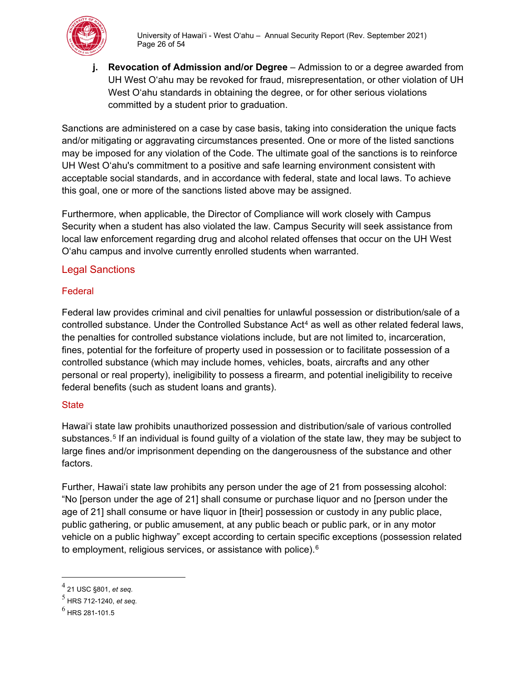

**j. Revocation of Admission and/or Degree** – Admission to or a degree awarded from UH West O'ahu may be revoked for fraud, misrepresentation, or other violation of UH West O'ahu standards in obtaining the degree, or for other serious violations committed by a student prior to graduation.

Sanctions are administered on a case by case basis, taking into consideration the unique facts and/or mitigating or aggravating circumstances presented. One or more of the listed sanctions may be imposed for any violation of the Code. The ultimate goal of the sanctions is to reinforce UH West O'ahu's commitment to a positive and safe learning environment consistent with acceptable social standards, and in accordance with federal, state and local laws. To achieve this goal, one or more of the sanctions listed above may be assigned.

Furthermore, when applicable, the Director of Compliance will work closely with Campus Security when a student has also violated the law. Campus Security will seek assistance from local law enforcement regarding drug and alcohol related offenses that occur on the UH West O'ahu campus and involve currently enrolled students when warranted.

#### <span id="page-25-0"></span>Legal Sanctions

#### <span id="page-25-1"></span>Federal

Federal law provides criminal and civil penalties for unlawful possession or distribution/sale of a controlled substance. Under the Controlled Substance Act<sup>[4](#page-25-3)</sup> as well as other related federal laws, the penalties for controlled substance violations include, but are not limited to, incarceration, fines, potential for the forfeiture of property used in possession or to facilitate possession of a controlled substance (which may include homes, vehicles, boats, aircrafts and any other personal or real property), ineligibility to possess a firearm, and potential ineligibility to receive federal benefits (such as student loans and grants).

#### <span id="page-25-2"></span>**State**

Hawai'i state law prohibits unauthorized possession and distribution/sale of various controlled substances.<sup>[5](#page-25-4)</sup> If an individual is found guilty of a violation of the state law, they may be subject to large fines and/or imprisonment depending on the dangerousness of the substance and other factors.

Further, Hawai'i state law prohibits any person under the age of 21 from possessing alcohol: "No [person under the age of 21] shall consume or purchase liquor and no [person under the age of 21] shall consume or have liquor in [their] possession or custody in any public place, public gathering, or public amusement, at any public beach or public park, or in any motor vehicle on a public highway" except according to certain specific exceptions (possession related to employment, religious services, or assistance with police).<sup>[6](#page-25-5)</sup>

<span id="page-25-3"></span><sup>4</sup> 21 USC §801, *et seq.*

<span id="page-25-4"></span><sup>5</sup> HRS 712-1240, *et seq.*

<span id="page-25-5"></span> $^6$  HRS 281-101.5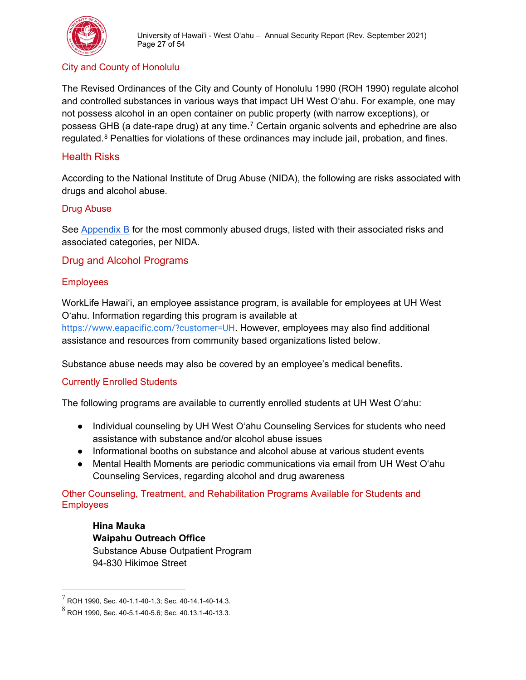

#### <span id="page-26-0"></span>City and County of Honolulu

The Revised Ordinances of the City and County of Honolulu 1990 (ROH 1990) regulate alcohol and controlled substances in various ways that impact UH West O'ahu. For example, one may not possess alcohol in an open container on public property (with narrow exceptions), or possess GHB (a date-rape drug) at any time.[7](#page-26-7) Certain organic solvents and ephedrine are also regulated.<sup>[8](#page-26-8)</sup> Penalties for violations of these ordinances may include jail, probation, and fines.

#### <span id="page-26-1"></span>Health Risks

According to the National Institute of Drug Abuse (NIDA), the following are risks associated with drugs and alcohol abuse.

#### <span id="page-26-2"></span>Drug Abuse

See [Appendix B](#page-43-1) for the most commonly abused drugs, listed with their associated risks and associated categories, per NIDA.

#### <span id="page-26-3"></span>Drug and Alcohol Programs

#### <span id="page-26-4"></span>**Employees**

WorkLife Hawai'i, an employee assistance program, is available for employees at UH West O'ahu. Information regarding this program is available at <https://www.eapacific.com/?customer=UH>. However, employees may also find additional assistance and resources from community based organizations listed below.

Substance abuse needs may also be covered by an employee's medical benefits.

#### <span id="page-26-5"></span>Currently Enrolled Students

The following programs are available to currently enrolled students at UH West O'ahu:

- Individual counseling by UH West O'ahu Counseling Services for students who need assistance with substance and/or alcohol abuse issues
- Informational booths on substance and alcohol abuse at various student events
- Mental Health Moments are periodic communications via email from UH West O'ahu Counseling Services, regarding alcohol and drug awareness

<span id="page-26-6"></span>Other Counseling, Treatment, and Rehabilitation Programs Available for Students and **Employees** 

**Hina Mauka Waipahu Outreach Office** Substance Abuse Outpatient Program 94-830 Hikimoe Street

<span id="page-26-7"></span> $^7$  ROH 1990, Sec. 40-1.1-40-1.3; Sec. 40-14.1-40-14.3.

<span id="page-26-8"></span> $^8$  ROH 1990, Sec. 40-5.1-40-5.6; Sec. 40.13.1-40-13.3.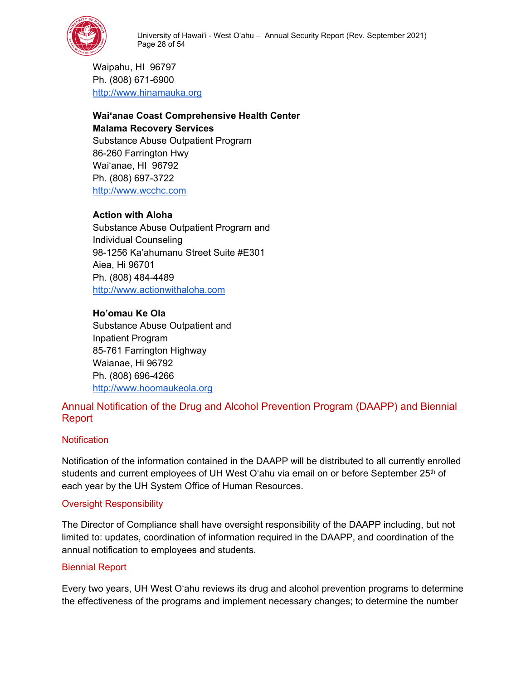

Waipahu, HI 96797 Ph. (808) 671-6900 [http://www.hinamauka.org](http://www.hinamauka.org/)

# **Wai'anae Coast Comprehensive Health Center Malama Recovery Services**

Substance Abuse Outpatient Program 86-260 Farrington Hwy Wai'anae, HI 96792 Ph. (808) 697-3722 [http://www.wcchc.com](http://www.wcchc.com/)

# **Action with Aloha**

Substance Abuse Outpatient Program and Individual Counseling 98-1256 Ka'ahumanu Street Suite #E301 Aiea, Hi 96701 Ph. (808) 484-4489 [http://www.actionwithaloha.com](http://www.actionwithaloha.com/)

#### **Ho'omau Ke Ola**

Substance Abuse Outpatient and Inpatient Program 85-761 Farrington Highway Waianae, Hi 96792 Ph. (808) 696-4266 [http://www.hoomaukeola.org](http://www.hoomaukeola.org/)

# Annual Notification of the Drug and Alcohol Prevention Program (DAAPP) and Biennial Report

#### <span id="page-27-0"></span>**Notification**

Notification of the information contained in the DAAPP will be distributed to all currently enrolled students and current employees of UH West O'ahu via email on or before September 25<sup>th</sup> of each year by the UH System Office of Human Resources.

#### <span id="page-27-1"></span>Oversight Responsibility

The Director of Compliance shall have oversight responsibility of the DAAPP including, but not limited to: updates, coordination of information required in the DAAPP, and coordination of the annual notification to employees and students.

#### <span id="page-27-2"></span>Biennial Report

Every two years, UH West O'ahu reviews its drug and alcohol prevention programs to determine the effectiveness of the programs and implement necessary changes; to determine the number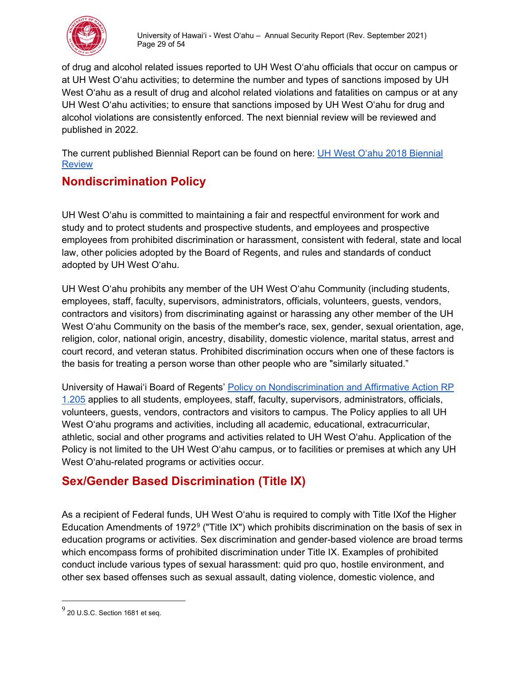

of drug and alcohol related issues reported to UH West O'ahu officials that occur on campus or at UH West O'ahu activities; to determine the number and types of sanctions imposed by UH West O'ahu as a result of drug and alcohol related violations and fatalities on campus or at any UH West O'ahu activities; to ensure that sanctions imposed by UH West O'ahu for drug and alcohol violations are consistently enforced. The next biennial review will be reviewed and published in 2022.

The current published Biennial Report can be found on here: [UH West O'ahu 2018 Biennial](https://westoahu.hawaii.edu/wp-content/uploads/docs/general_info/2018_BiennialReview_AY1617_1718.pdf)  **Review** 

# <span id="page-28-0"></span>**Nondiscrimination Policy**

UH West O'ahu is committed to maintaining a fair and respectful environment for work and study and to protect students and prospective students, and employees and prospective employees from prohibited discrimination or harassment, consistent with federal, state and local law, other policies adopted by the Board of Regents, and rules and standards of conduct adopted by UH West O'ahu.

UH West O'ahu prohibits any member of the UH West O'ahu Community (including students, employees, staff, faculty, supervisors, administrators, officials, volunteers, guests, vendors, contractors and visitors) from discriminating against or harassing any other member of the UH West O'ahu Community on the basis of the member's race, sex, gender, sexual orientation, age, religion, color, national origin, ancestry, disability, domestic violence, marital status, arrest and court record, and veteran status. Prohibited discrimination occurs when one of these factors is the basis for treating a person worse than other people who are "similarly situated."

University of Hawai'i Board of Regents' [Policy on Nondiscrimination and Affirmative Action RP](http://www.hawaii.edu/policy/?action=viewPolicy&&policySection=rp&policyChapter=1&policyNumber=205)  [1.205](http://www.hawaii.edu/policy/?action=viewPolicy&&policySection=rp&policyChapter=1&policyNumber=205) applies to all students, employees, staff, faculty, supervisors, administrators, officials, volunteers, guests, vendors, contractors and visitors to campus. The Policy applies to all UH West O'ahu programs and activities, including all academic, educational, extracurricular, athletic, social and other programs and activities related to UH West O'ahu. Application of the Policy is not limited to the UH West O'ahu campus, or to facilities or premises at which any UH West O'ahu-related programs or activities occur[.](http://www.hawaii.edu/policy/?action=viewPolicy&&policySection=rp&policyChapter=1&policyNumber=205)

# **Sex/Gender Based Discrimination (Title IX)**

As a recipient of Federal funds, UH West O'ahu is required to comply with Title IXof the Higher Education Amendments of 1972[9](#page-28-1) ("Title IX") which prohibits discrimination on the basis of sex in education programs or activities. Sex discrimination and gender-based violence are broad terms which encompass forms of prohibited discrimination under Title IX. Examples of prohibited conduct include various types of sexual harassment: quid pro quo, hostile environment, and other sex based offenses such as sexual assault, dating violence, domestic violence, and

<span id="page-28-1"></span> $^9$  20 U.S.C. Section 1681 et seq.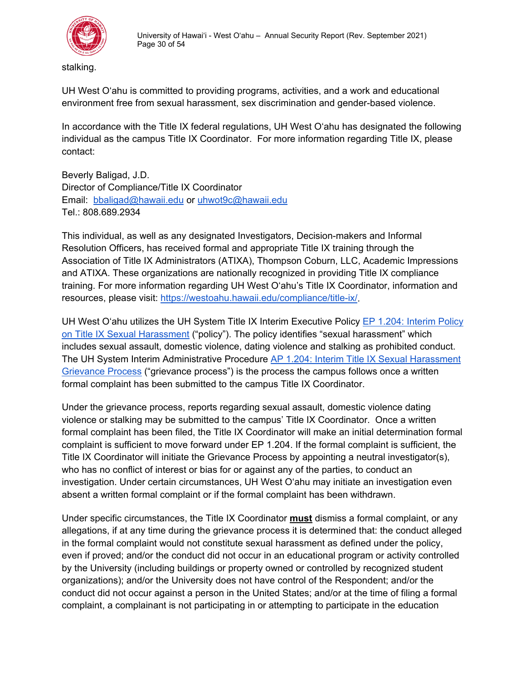

stalking.

UH West O'ahu is committed to providing programs, activities, and a work and educational environment free from sexual harassment, sex discrimination and gender-based violence.

In accordance with the Title IX federal regulations, UH West O'ahu has designated the following individual as the campus Title IX Coordinator. For more information regarding Title IX, please contact:

Beverly Baligad, J.D. Director of Compliance/Title IX Coordinator Email: [bbaligad@hawaii.edu](mailto:bbaligad@hawaii.edu) or [uhwot9c@hawaii.edu](mailto:uhwot9c@hawaii.edu)  Tel.: 808.689.2934

This individual, as well as any designated Investigators, Decision-makers and Informal Resolution Officers, has received formal and appropriate Title IX training through the Association of Title IX Administrators (ATIXA), Thompson Coburn, LLC, Academic Impressions and ATIXA. These organizations are nationally recognized in providing Title IX compliance training. For more information regarding UH West O'ahu's Title IX Coordinator, information and resources, please visit: [https://westoahu.hawaii.edu/compliance/title-ix/.](https://westoahu.hawaii.edu/compliance/title-ix/)

UH West O'ahu utilizes the UH System Title IX Interim Executive Policy [EP 1.204: Interim Policy](http://hawaii.edu/policy/docs/temp/ep1.204.pdf)  [on Title IX Sexual Harassment \("policy"\).](http://hawaii.edu/policy/docs/temp/ep1.204.pdf) The policy identifies "sexual harassment" which includes sexual assault, domestic violence, dating violence and stalking as prohibited conduct. The UH System Interim Administrative Procedure [AP 1.204: Interim Title IX Sexual Harassment](https://www.hawaii.edu/policy/docs/temp/ap1.204.pdf)  [Grievance Process](https://www.hawaii.edu/policy/docs/temp/ap1.204.pdf) ("grievance process") is the process the campus follows once a written formal complaint has been submitted to the campus Title IX Coordinator.

Under the grievance process, reports regarding sexual assault, domestic violence dating violence or stalking may be submitted to the campus' Title IX Coordinator. Once a written formal complaint has been filed, the Title IX Coordinator will make an initial determination formal complaint is sufficient to move forward under EP 1.204. If the formal complaint is sufficient, the Title IX Coordinator will initiate the Grievance Process by appointing a neutral investigator(s), who has no conflict of interest or bias for or against any of the parties, to conduct an investigation. Under certain circumstances, UH West O'ahu may initiate an investigation even absent a written formal complaint or if the formal complaint has been withdrawn.

Under specific circumstances, the Title IX Coordinator **must** dismiss a formal complaint, or any allegations, if at any time during the grievance process it is determined that: the conduct alleged in the formal complaint would not constitute sexual harassment as defined under the policy, even if proved; and/or the conduct did not occur in an educational program or activity controlled by the University (including buildings or property owned or controlled by recognized student organizations); and/or the University does not have control of the Respondent; and/or the conduct did not occur against a person in the United States; and/or at the time of filing a formal complaint, a complainant is not participating in or attempting to participate in the education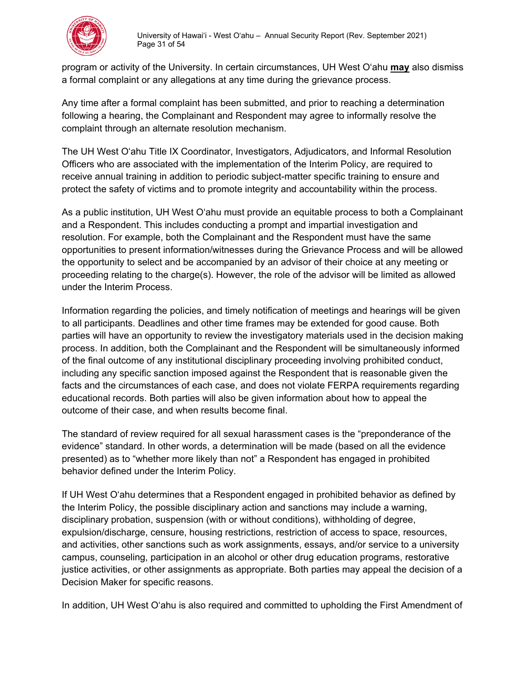

program or activity of the University. In certain circumstances, UH West O'ahu **may** also dismiss a formal complaint or any allegations at any time during the grievance process.

Any time after a formal complaint has been submitted, and prior to reaching a determination following a hearing, the Complainant and Respondent may agree to informally resolve the complaint through an alternate resolution mechanism.

The UH West O'ahu Title IX Coordinator, Investigators, Adjudicators, and Informal Resolution Officers who are associated with the implementation of the Interim Policy, are required to receive annual training in addition to periodic subject-matter specific training to ensure and protect the safety of victims and to promote integrity and accountability within the process.

As a public institution, UH West O'ahu must provide an equitable process to both a Complainant and a Respondent. This includes conducting a prompt and impartial investigation and resolution. For example, both the Complainant and the Respondent must have the same opportunities to present information/witnesses during the Grievance Process and will be allowed the opportunity to select and be accompanied by an advisor of their choice at any meeting or proceeding relating to the charge(s). However, the role of the advisor will be limited as allowed under the Interim Process.

Information regarding the policies, and timely notification of meetings and hearings will be given to all participants. Deadlines and other time frames may be extended for good cause. Both parties will have an opportunity to review the investigatory materials used in the decision making process. In addition, both the Complainant and the Respondent will be simultaneously informed of the final outcome of any institutional disciplinary proceeding involving prohibited conduct, including any specific sanction imposed against the Respondent that is reasonable given the facts and the circumstances of each case, and does not violate FERPA requirements regarding educational records. Both parties will also be given information about how to appeal the outcome of their case, and when results become final.

The standard of review required for all sexual harassment cases is the "preponderance of the evidence" standard. In other words, a determination will be made (based on all the evidence presented) as to "whether more likely than not" a Respondent has engaged in prohibited behavior defined under the Interim Policy.

If UH West O'ahu determines that a Respondent engaged in prohibited behavior as defined by the Interim Policy, the possible disciplinary action and sanctions may include a warning, disciplinary probation, suspension (with or without conditions), withholding of degree, expulsion/discharge, censure, housing restrictions, restriction of access to space, resources, and activities, other sanctions such as work assignments, essays, and/or service to a university campus, counseling, participation in an alcohol or other drug education programs, restorative justice activities, or other assignments as appropriate. Both parties may appeal the decision of a Decision Maker for specific reasons.

In addition, UH West O'ahu is also required and committed to upholding the First Amendment of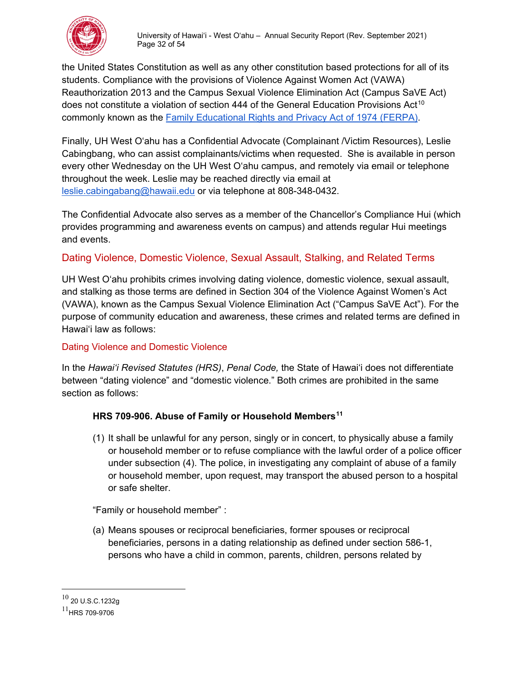

the United States Constitution as well as any other constitution based protections for all of its students. Compliance with the provisions of Violence Against Women Act (VAWA) Reauthorization 2013 and the Campus Sexual Violence Elimination Act (Campus SaVE Act) does not constitute a violation of section 444 of the General Education Provisions Act<sup>[10](#page-31-2)</sup> commonly known as the [Family Educational Rights and Privacy Act of 1974 \(FERPA\).](https://www2.ed.gov/policy/gen/guid/fpco/ferpa/index.html)

Finally, UH West O'ahu has a Confidential Advocate (Complainant /Victim Resources), Leslie Cabingbang, who can assist complainants/victims when requested. She is available in person every other Wednesday on the UH West O'ahu campus, and remotely via email or telephone throughout the week. Leslie may be reached directly via email at [leslie.cabingabang@hawaii.edu](mailto:leslie.cabingabang@hawaii.edu) or via telephone at 808-348-0432.

The Confidential Advocate also serves as a member of the Chancellor's Compliance Hui (which provides programming and awareness events on campus) and attends regular Hui meetings and events.

# <span id="page-31-0"></span>Dating Violence, Domestic Violence, Sexual Assault, Stalking, and Related Terms

UH West O'ahu prohibits crimes involving dating violence, domestic violence, sexual assault, and stalking as those terms are defined in Section 304 of the Violence Against Women's Act (VAWA), known as the Campus Sexual Violence Elimination Act ("Campus SaVE Act"). For the purpose of community education and awareness, these crimes and related terms are defined in Hawaiʻi law as follows:

# <span id="page-31-1"></span>Dating Violence and Domestic Violence

In the *Hawaiʻi Revised Statutes (HRS)*, *Penal Code,* the State of Hawaiʻi does not differentiate between "dating violence" and "domestic violence." Both crimes are prohibited in the same section as follows:

# **HRS 709-906. Abuse of Family or Household Members[11](#page-31-3)**

(1) It shall be unlawful for any person, singly or in concert, to physically abuse a family or household member or to refuse compliance with the lawful order of a police officer under subsection (4). The police, in investigating any complaint of abuse of a family or household member, upon request, may transport the abused person to a hospital or safe shelter.

"Family or household member" :

(a) Means spouses or reciprocal beneficiaries, former spouses or reciprocal beneficiaries, persons in a dating relationship as defined under section 586-1, persons who have a child in common, parents, children, persons related by

<span id="page-31-2"></span> $10$  20 U.S.C.1232g

<span id="page-31-3"></span> $^{11}$ HRS 709-9706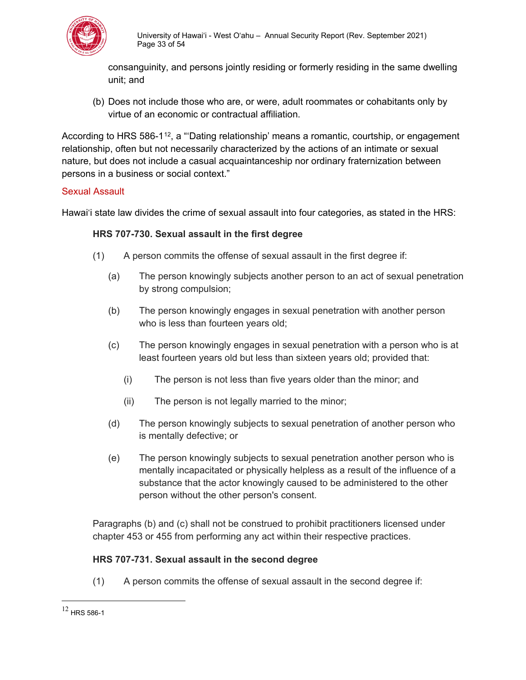

consanguinity, and persons jointly residing or formerly residing in the same dwelling unit; and

(b) Does not include those who are, or were, adult roommates or cohabitants only by virtue of an economic or contractual affiliation.

According to HRS 586-1<sup>12</sup>, a "Dating relationship' means a romantic, courtship, or engagement relationship, often but not necessarily characterized by the actions of an intimate or sexual nature, but does not include a casual acquaintanceship nor ordinary fraternization between persons in a business or social context."

#### <span id="page-32-0"></span>Sexual Assault

Hawaiʻi state law divides the crime of sexual assault into four categories, as stated in the HRS:

#### **HRS 707-730. Sexual assault in the first degree**

- (1) A person commits the offense of sexual assault in the first degree if:
	- (a) The person knowingly subjects another person to an act of sexual penetration by strong compulsion;
	- (b) The person knowingly engages in sexual penetration with another person who is less than fourteen years old;
	- (c) The person knowingly engages in sexual penetration with a person who is at least fourteen years old but less than sixteen years old; provided that:
		- (i) The person is not less than five years older than the minor; and
		- (ii) The person is not legally married to the minor;
	- (d) The person knowingly subjects to sexual penetration of another person who is mentally defective; or
	- (e) The person knowingly subjects to sexual penetration another person who is mentally incapacitated or physically helpless as a result of the influence of a substance that the actor knowingly caused to be administered to the other person without the other person's consent.

Paragraphs (b) and (c) shall not be construed to prohibit practitioners licensed under chapter 453 or 455 from performing any act within their respective practices.

#### **HRS 707-731. Sexual assault in the second degree**

(1) A person commits the offense of sexual assault in the second degree if:

<span id="page-32-1"></span> $12$  HRS 586-1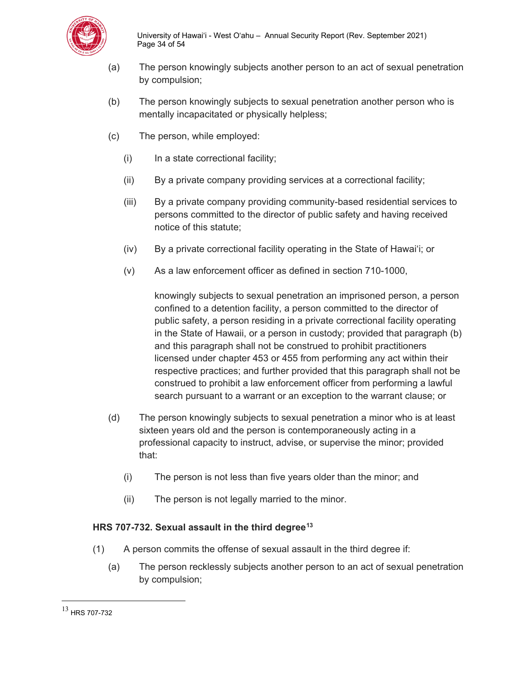

- (a) The person knowingly subjects another person to an act of sexual penetration by compulsion;
- (b) The person knowingly subjects to sexual penetration another person who is mentally incapacitated or physically helpless;
- (c) The person, while employed:
	- (i) In a state correctional facility;
	- (ii) By a private company providing services at a correctional facility;
	- (iii) By a private company providing community-based residential services to persons committed to the director of public safety and having received notice of this statute;
	- (iv) By a private correctional facility operating in the State of Hawaiʻi; or
	- (v) As a law enforcement officer as defined in section 710-1000,

knowingly subjects to sexual penetration an imprisoned person, a person confined to a detention facility, a person committed to the director of public safety, a person residing in a private correctional facility operating in the State of Hawaii, or a person in custody; provided that paragraph (b) and this paragraph shall not be construed to prohibit practitioners licensed under chapter 453 or 455 from performing any act within their respective practices; and further provided that this paragraph shall not be construed to prohibit a law enforcement officer from performing a lawful search pursuant to a warrant or an exception to the warrant clause; or

- (d) The person knowingly subjects to sexual penetration a minor who is at least sixteen years old and the person is contemporaneously acting in a professional capacity to instruct, advise, or supervise the minor; provided that:
	- (i) The person is not less than five years older than the minor; and
	- (ii) The person is not legally married to the minor.

#### **HRS 707-732. Sexual assault in the third degree[13](#page-33-0)**

- (1) A person commits the offense of sexual assault in the third degree if:
	- (a) The person recklessly subjects another person to an act of sexual penetration by compulsion;

<span id="page-33-0"></span><sup>13</sup> [HRS 707-732](https://www.capitol.hawaii.gov/hrscurrent/Vol14_Ch0701-0853/HRS0707/HRS_0707-0732.htm)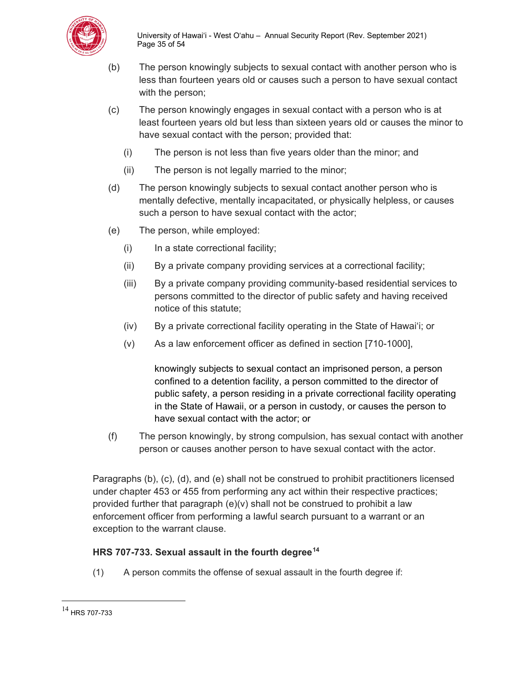

- (b) The person knowingly subjects to sexual contact with another person who is less than fourteen years old or causes such a person to have sexual contact with the person;
- (c) The person knowingly engages in sexual contact with a person who is at least fourteen years old but less than sixteen years old or causes the minor to have sexual contact with the person; provided that:
	- (i) The person is not less than five years older than the minor; and
	- (ii) The person is not legally married to the minor;
- (d) The person knowingly subjects to sexual contact another person who is mentally defective, mentally incapacitated, or physically helpless, or causes such a person to have sexual contact with the actor;
- (e) The person, while employed:
	- (i) In a state correctional facility;
	- (ii) By a private company providing services at a correctional facility;
	- (iii) By a private company providing community-based residential services to persons committed to the director of public safety and having received notice of this statute;
	- (iv) By a private correctional facility operating in the State of Hawaiʻi; or
	- (v) As a law enforcement officer as defined in section [710-1000],

knowingly subjects to sexual contact an imprisoned person, a person confined to a detention facility, a person committed to the director of public safety, a person residing in a private correctional facility operating in the State of Hawaii, or a person in custody, or causes the person to have sexual contact with the actor; or

(f) The person knowingly, by strong compulsion, has sexual contact with another person or causes another person to have sexual contact with the actor.

Paragraphs (b), (c), (d), and (e) shall not be construed to prohibit practitioners licensed under chapter 453 or 455 from performing any act within their respective practices; provided further that paragraph (e)(v) shall not be construed to prohibit a law enforcement officer from performing a lawful search pursuant to a warrant or an exception to the warrant clause.

#### **HRS 707-733. Sexual assault in the fourth degree[14](#page-34-0)**

(1) A person commits the offense of sexual assault in the fourth degree if:

<span id="page-34-0"></span><sup>14</sup> [HRS 707-733](https://www.capitol.hawaii.gov/hrscurrent/Vol14_Ch0701-0853/HRS0707/HRS_0707-0733.htm)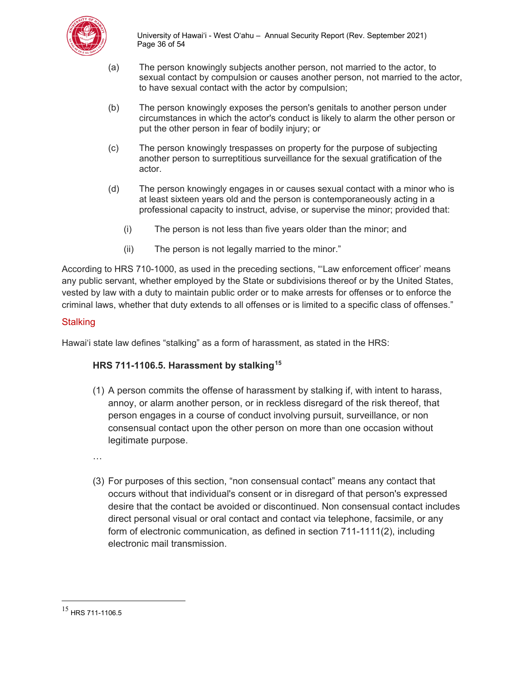

University of Hawai'i - West O'ahu – Annual Security Report (Rev. September 2021) Page 36 of 54

- (a) The person knowingly subjects another person, not married to the actor, to sexual contact by compulsion or causes another person, not married to the actor, to have sexual contact with the actor by compulsion;
- (b) The person knowingly exposes the person's genitals to another person under circumstances in which the actor's conduct is likely to alarm the other person or put the other person in fear of bodily injury; or
- (c) The person knowingly trespasses on property for the purpose of subjecting another person to surreptitious surveillance for the sexual gratification of the actor.
- (d) The person knowingly engages in or causes sexual contact with a minor who is at least sixteen years old and the person is contemporaneously acting in a professional capacity to instruct, advise, or supervise the minor; provided that:
	- (i) The person is not less than five years older than the minor; and
	- (ii) The person is not legally married to the minor."

According to HRS 710-1000, as used in the preceding sections, "'Law enforcement officer' means any public servant, whether employed by the State or subdivisions thereof or by the United States, vested by law with a duty to maintain public order or to make arrests for offenses or to enforce the criminal laws, whether that duty extends to all offenses or is limited to a specific class of offenses."

#### <span id="page-35-0"></span>**Stalking**

Hawaiʻi state law defines "stalking" as a form of harassment, as stated in the HRS:

#### **HRS 711-1106.5. Harassment by stalking[15](#page-35-1)**

(1) A person commits the offense of harassment by stalking if, with intent to harass, annoy, or alarm another person, or in reckless disregard of the risk thereof, that person engages in a course of conduct involving pursuit, surveillance, or non consensual contact upon the other person on more than one occasion without legitimate purpose.

…

(3) For purposes of this section, "non consensual contact" means any contact that occurs without that individual's consent or in disregard of that person's expressed desire that the contact be avoided or discontinued. Non consensual contact includes direct personal visual or oral contact and contact via telephone, facsimile, or any form of electronic communication, as defined in section 711-1111(2), including electronic mail transmission.

<span id="page-35-1"></span><sup>15</sup> [HRS 711-1106.5](https://www.capitol.hawaii.gov/hrscurrent/Vol14_Ch0701-0853/HRS0711/HRS_0711-1106_0005.htm)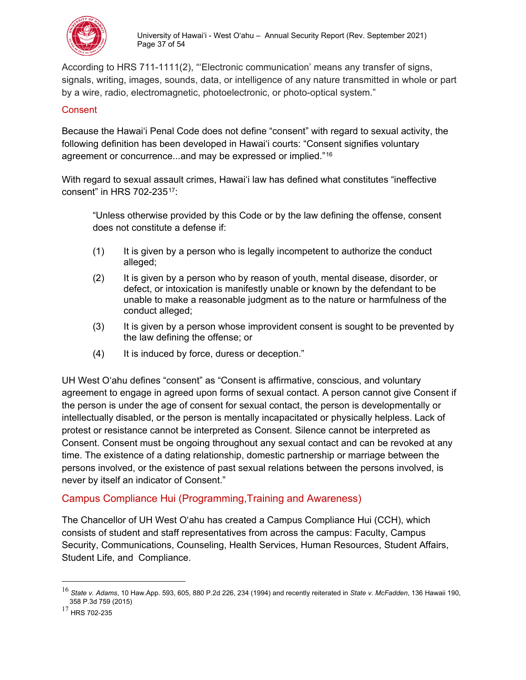

According to HRS 711-1111(2), "'Electronic communication' means any transfer of signs, signals, writing, images, sounds, data, or intelligence of any nature transmitted in whole or part by a wire, radio, electromagnetic, photoelectronic, or photo-optical system."

#### <span id="page-36-0"></span>**Consent**

Because the Hawaiʻi Penal Code does not define "consent" with regard to sexual activity, the following definition has been developed in Hawaiʻi courts: "Consent signifies voluntary agreement or concurrence...and may be expressed or implied."[16](#page-36-2)

With regard to sexual assault crimes, Hawaiʻi law has defined what constitutes "ineffective consent" in HRS 702-235[17:](#page-36-3)

"Unless otherwise provided by this Code or by the law defining the offense, consent does not constitute a defense if:

- (1) It is given by a person who is legally incompetent to authorize the conduct alleged;
- (2) It is given by a person who by reason of youth, mental disease, disorder, or defect, or intoxication is manifestly unable or known by the defendant to be unable to make a reasonable judgment as to the nature or harmfulness of the conduct alleged;
- (3) It is given by a person whose improvident consent is sought to be prevented by the law defining the offense; or
- (4) It is induced by force, duress or deception."

UH West O'ahu defines "consent" as "Consent is affirmative, conscious, and voluntary agreement to engage in agreed upon forms of sexual contact. A person cannot give Consent if the person is under the age of consent for sexual contact, the person is developmentally or intellectually disabled, or the person is mentally incapacitated or physically helpless. Lack of protest or resistance cannot be interpreted as Consent. Silence cannot be interpreted as Consent. Consent must be ongoing throughout any sexual contact and can be revoked at any time. The existence of a dating relationship, domestic partnership or marriage between the persons involved, or the existence of past sexual relations between the persons involved, is never by itself an indicator of Consent."

# <span id="page-36-1"></span>Campus Compliance Hui (Programming,Training and Awareness)

The Chancellor of UH West O'ahu has created a Campus Compliance Hui (CCH), which consists of student and staff representatives from across the campus: Faculty, Campus Security, Communications, Counseling, Health Services, Human Resources, Student Affairs, Student Life, and Compliance.

<span id="page-36-2"></span><sup>16</sup> *State v. Adams*, 10 Haw.App. 593, 605, 880 P.2d 226, 234 (1994) and recently reiterated in *State v. McFadden*, 136 Hawaii 190, 358 P.3d 759 (2015)

<span id="page-36-3"></span><sup>17</sup> [HRS 702-235](https://www.capitol.hawaii.gov/hrscurrent/Vol14_Ch0701-0853/HRS0702/HRS_0702-0235.htm)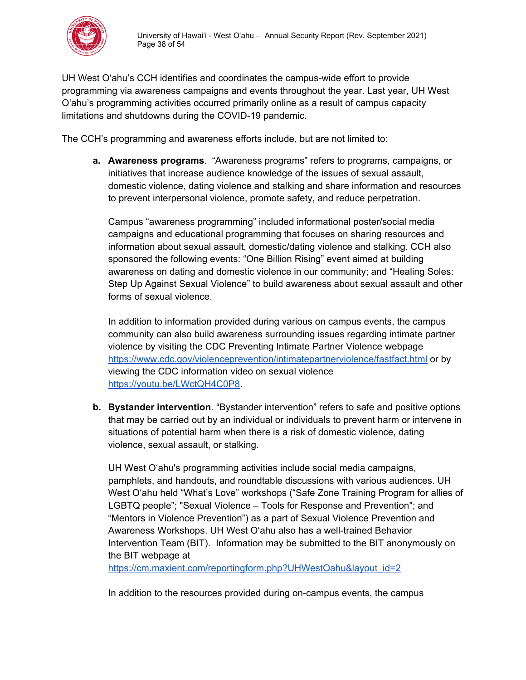

UH West O'ahu's CCH identifies and coordinates the campus-wide effort to provide programming via awareness campaigns and events throughout the year. Last year, UH West O'ahu's programming activities occurred primarily online as a result of campus capacity limitations and shutdowns during the COVID-19 pandemic.

The CCH's programming and awareness efforts include, but are not limited to:

**a. Awareness programs**. "Awareness programs" refers to programs, campaigns, or initiatives that increase audience knowledge of the issues of sexual assault, domestic violence, dating violence and stalking and share information and resources to prevent interpersonal violence, promote safety, and reduce perpetration.

Campus "awareness programming" included informational poster/social media campaigns and educational programming that focuses on sharing resources and information about sexual assault, domestic/dating violence and stalking. CCH also sponsored the following events: "One Billion Rising" event aimed at building awareness on dating and domestic violence in our community; and "Healing Soles: Step Up Against Sexual Violence" to build awareness about sexual assault and other forms of sexual violence.

In addition to information provided during various on campus events, the campus community can also build awareness surrounding issues regarding intimate partner violence by visiting the CDC Preventing Intimate Partner Violence webpage <https://www.cdc.gov/violenceprevention/intimatepartnerviolence/fastfact.html> or by viewing the CDC information video on sexual violence [https://youtu.be/LWctQH4C0P8.](https://youtu.be/LWctQH4C0P8)

**b. Bystander intervention**. "Bystander intervention" refers to safe and positive options that may be carried out by an individual or individuals to prevent harm or intervene in situations of potential harm when there is a risk of domestic violence, dating violence, sexual assault, or stalking.

UH West O'ahu's programming activities include social media campaigns, pamphlets, and handouts, and roundtable discussions with various audiences. UH West O'ahu held "What's Love" workshops ("Safe Zone Training Program for allies of LGBTQ people"; "Sexual Violence – Tools for Response and Prevention"; and "Mentors in Violence Prevention") as a part of Sexual Violence Prevention and Awareness Workshops. UH West O'ahu also has a well-trained Behavior Intervention Team (BIT). Information may be submitted to the BIT anonymously on the BIT webpage at

https://cm.maxient.com/reportingform.php?UHWestOahu&layout\_id=2

In addition to the resources provided during on-campus events, the campus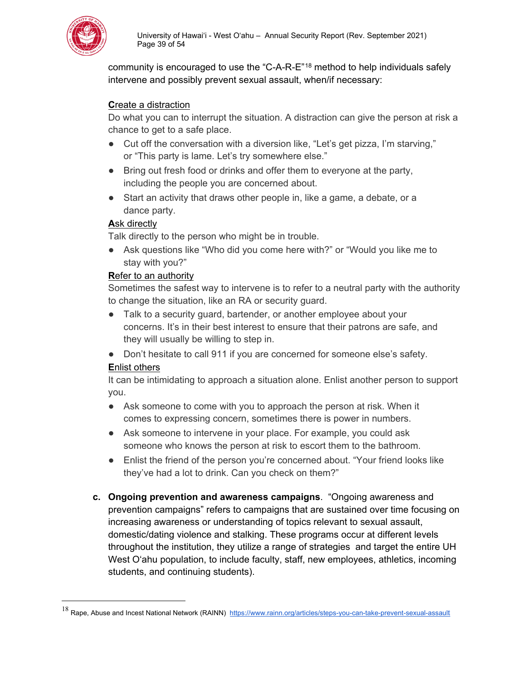

community is encouraged to use the "C-A-R-E"[18](#page-38-0) method to help individuals safely intervene and possibly prevent sexual assault, when/if necessary:

#### **C**reate a distraction

Do what you can to interrupt the situation. A distraction can give the person at risk a chance to get to a safe place.

- Cut off the conversation with a diversion like, "Let's get pizza, I'm starving," or "This party is lame. Let's try somewhere else."
- Bring out fresh food or drinks and offer them to everyone at the party, including the people you are concerned about.
- Start an activity that draws other people in, like a game, a debate, or a dance party.

#### **A**sk directly

Talk directly to the person who might be in trouble.

● Ask questions like "Who did you come here with?" or "Would you like me to stay with you?"

#### **R**efer to an authority

Sometimes the safest way to intervene is to refer to a neutral party with the authority to change the situation, like an RA or security guard.

- Talk to a security quard, bartender, or another employee about your concerns. It's in their best interest to ensure that their patrons are safe, and they will usually be willing to step in.
- Don't hesitate to call 911 if you are concerned for someone else's safety.

#### **E**nlist others

It can be intimidating to approach a situation alone. Enlist another person to support you.

- Ask someone to come with you to approach the person at risk. When it comes to expressing concern, sometimes there is power in numbers.
- Ask someone to intervene in your place. For example, you could ask someone who knows the person at risk to escort them to the bathroom.
- Enlist the friend of the person you're concerned about. "Your friend looks like they've had a lot to drink. Can you check on them?"
- **c. Ongoing prevention and awareness campaigns**. "Ongoing awareness and prevention campaigns" refers to campaigns that are sustained over time focusing on increasing awareness or understanding of topics relevant to sexual assault, domestic/dating violence and stalking. These programs occur at different levels throughout the institution, they utilize a range of strategies and target the entire UH West O'ahu population, to include faculty, staff, new employees, athletics, incoming students, and continuing students).

<span id="page-38-0"></span><sup>18</sup> Rape, Abuse and Incest National Network (RAINN) [https://www.rainn.org/articles/steps-you-can-take-prevent-sexual-assaul](https://www.rainn.org/articles/steps-you-can-take-prevent-sexual-assault)t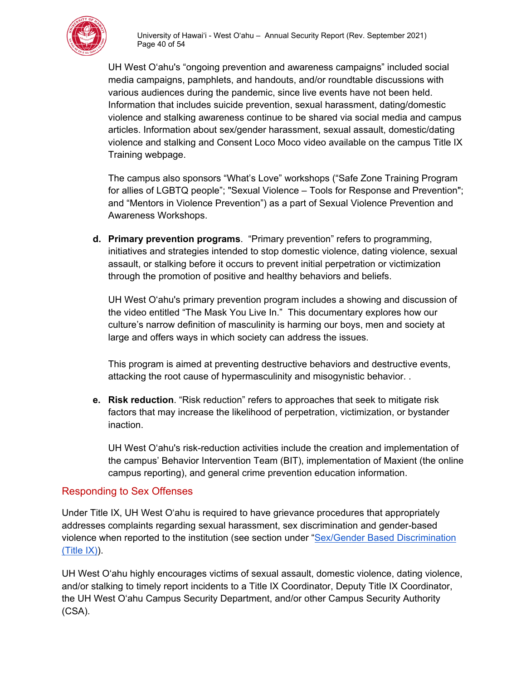

UH West O'ahu's "ongoing prevention and awareness campaigns" included social media campaigns, pamphlets, and handouts, and/or roundtable discussions with various audiences during the pandemic, since live events have not been held. Information that includes suicide prevention, sexual harassment, dating/domestic violence and stalking awareness continue to be shared via social media and campus articles. Information about sex/gender harassment, sexual assault, domestic/dating violence and stalking and Consent Loco Moco video available on the campus Title IX Training webpage.

The campus also sponsors "What's Love" workshops ("Safe Zone Training Program for allies of LGBTQ people"; "Sexual Violence – Tools for Response and Prevention"; and "Mentors in Violence Prevention") as a part of Sexual Violence Prevention and Awareness Workshops.

**d. Primary prevention programs**. "Primary prevention" refers to programming, initiatives and strategies intended to stop domestic violence, dating violence, sexual assault, or stalking before it occurs to prevent initial perpetration or victimization through the promotion of positive and healthy behaviors and beliefs.

UH West O'ahu's primary prevention program includes a showing and discussion of the video entitled "The Mask You Live In." This documentary explores how our culture's narrow definition of masculinity is harming our boys, men and society at large and offers ways in which society can address the issues.

This program is aimed at preventing destructive behaviors and destructive events, attacking the root cause of hypermasculinity and misogynistic behavior. .

**e. Risk reduction**. "Risk reduction" refers to approaches that seek to mitigate risk factors that may increase the likelihood of perpetration, victimization, or bystander inaction.

UH West O'ahu's risk-reduction activities include the creation and implementation of the campus' Behavior Intervention Team (BIT), implementation of Maxient (the online campus reporting), and general crime prevention education information.

# <span id="page-39-0"></span>Responding to Sex Offenses

Under Title IX, UH West O'ahu is required to have grievance procedures that appropriately addresses complaints regarding sexual harassment, sex discrimination and gender-based violence when reported to the institution (see section under "Sex/Gender Based Discrimination (Title IX)).

UH West O'ahu highly encourages victims of sexual assault, domestic violence, dating violence, and/or stalking to timely report incidents to a Title IX Coordinator, Deputy Title IX Coordinator, the UH West O'ahu Campus Security Department, and/or other Campus Security Authority (CSA).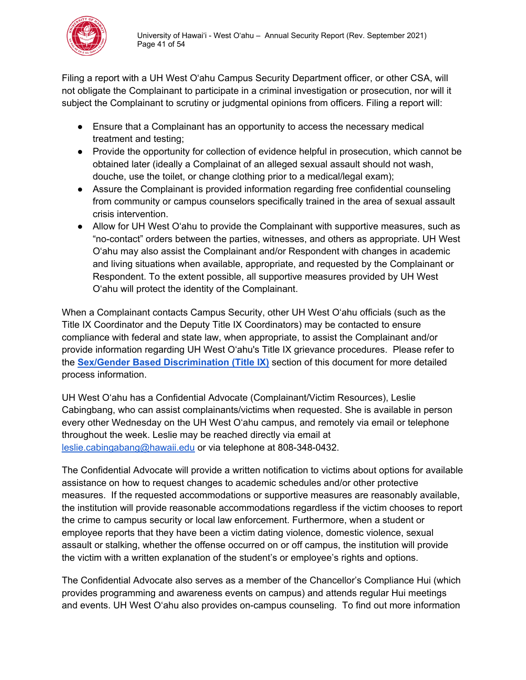

Filing a report with a UH West O'ahu Campus Security Department officer, or other CSA, will not obligate the Complainant to participate in a criminal investigation or prosecution, nor will it subject the Complainant to scrutiny or judgmental opinions from officers. Filing a report will:

- Ensure that a Complainant has an opportunity to access the necessary medical treatment and testing;
- Provide the opportunity for collection of evidence helpful in prosecution, which cannot be obtained later (ideally a Complainat of an alleged sexual assault should not wash, douche, use the toilet, or change clothing prior to a medical/legal exam);
- Assure the Complainant is provided information regarding free confidential counseling from community or campus counselors specifically trained in the area of sexual assault crisis intervention.
- Allow for UH West O'ahu to provide the Complainant with supportive measures, such as "no-contact" orders between the parties, witnesses, and others as appropriate. UH West O'ahu may also assist the Complainant and/or Respondent with changes in academic and living situations when available, appropriate, and requested by the Complainant or Respondent. To the extent possible, all supportive measures provided by UH West O'ahu will protect the identity of the Complainant.

When a Complainant contacts Campus Security, other UH West O'ahu officials (such as the Title IX Coordinator and the Deputy Title IX Coordinators) may be contacted to ensure compliance with federal and state law, when appropriate, to assist the Complainant and/or provide information regarding UH West O'ahu's Title IX grievance procedures. Please refer to the **Sex/Gender Based Discrimination (Title IX)** section of this document for more detailed process information.

UH West O'ahu has a Confidential Advocate (Complainant/Victim Resources), Leslie Cabingbang, who can assist complainants/victims when requested. She is available in person every other Wednesday on the UH West O'ahu campus, and remotely via email or telephone throughout the week. Leslie may be reached directly via email at [leslie.cabingabang@hawaii.edu](mailto:leslie.cabingabang@hawaii.edu) or via telephone at 808-348-0432.

The Confidential Advocate will provide a written notification to victims about options for available assistance on how to request changes to academic schedules and/or other protective measures. If the requested accommodations or supportive measures are reasonably available, the institution will provide reasonable accommodations regardless if the victim chooses to report the crime to campus security or local law enforcement. Furthermore, when a student or employee reports that they have been a victim dating violence, domestic violence, sexual assault or stalking, whether the offense occurred on or off campus, the institution will provide the victim with a written explanation of the student's or employee's rights and options.

The Confidential Advocate also serves as a member of the Chancellor's Compliance Hui (which provides programming and awareness events on campus) and attends regular Hui meetings and events. UH West O'ahu also provides on-campus counseling. To find out more information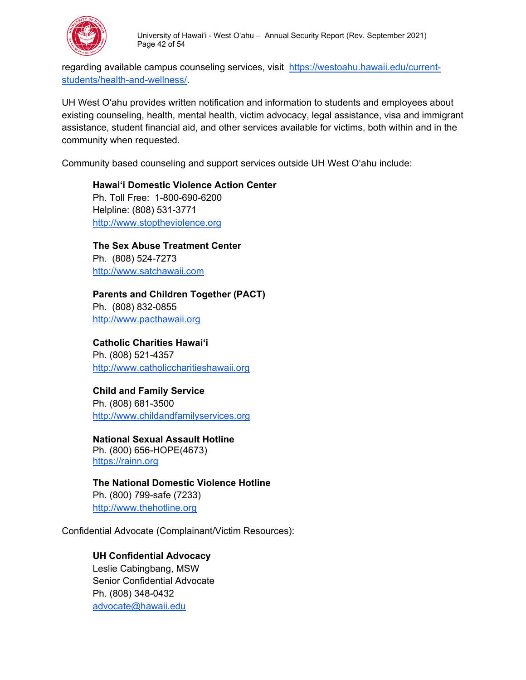

regarding available campus counseling services, visit [https://westoahu.hawaii.edu/current](https://westoahu.hawaii.edu/current-students/health-and-wellness/)[students/health-and-wellness/.](https://westoahu.hawaii.edu/current-students/health-and-wellness/)

UH West O'ahu provides written notification and information to students and employees about existing counseling, health, mental health, victim advocacy, legal assistance, visa and immigrant assistance, student financial aid, and other services available for victims, both within and in the community when requested.

Community based counseling and support services outside UH West O'ahu include:

**Hawaiʻi Domestic Violence Action Center** Ph. Toll Free: 1-800-690-6200 Helpline: (808) 531-3771 [http://www.stoptheviolence.org](http://www.stoptheviolence.org/)

**The Sex Abuse Treatment Center** Ph. (808) 524-7273 [http://www.satchawaii.com](http://www.satchawaii.com/)

**Parents and Children Together (PACT)**  Ph. (808) 832-0855 [http://www.pacthawaii.org](http://www.pacthawaii.org/)

**Catholic Charities Hawaiʻi** Ph. (808) 521-4357 [http://www.catholiccharitieshawaii.org](http://www.catholiccharitieshawaii.org/)

**Child and Family Service** Ph. (808) 681-3500 [http://www.childandfamilyservices.org](https://www.childandfamilyservice.org/)

**National Sexual Assault Hotline** Ph. (800) 656-HOPE(4673) [https://rainn.org](https://rainn.org/) 

**The National Domestic Violence Hotline** Ph. (800) 799-safe (7233) [http://www.thehotline.org](http://www.thehotline.org/)

Confidential Advocate (Complainant/Victim Resources):

#### **UH Confidential Advocacy**

Leslie Cabingbang, MSW Senior Confidential Advocate Ph. (808) 348-0432 [advocate@hawaii.edu](mailto:advocate@hawaii.edu)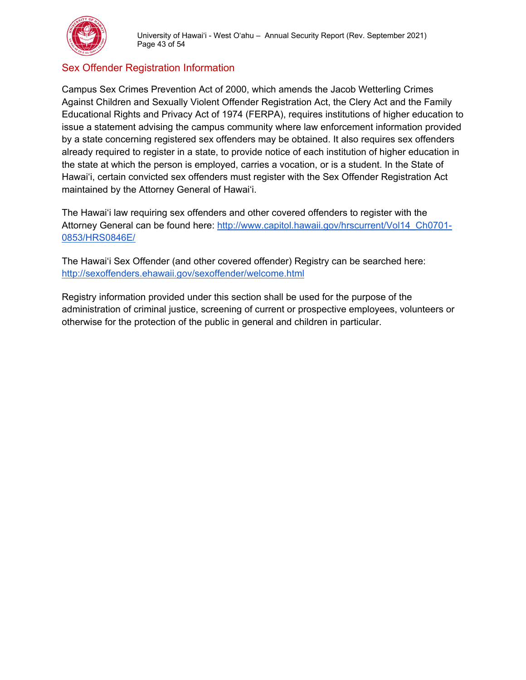

# <span id="page-42-0"></span>Sex Offender Registration Information

Campus Sex Crimes Prevention Act of 2000, which amends the Jacob Wetterling Crimes Against Children and Sexually Violent Offender Registration Act, the Clery Act and the Family Educational Rights and Privacy Act of 1974 (FERPA), requires institutions of higher education to issue a statement advising the campus community where law enforcement information provided by a state concerning registered sex offenders may be obtained. It also requires sex offenders already required to register in a state, to provide notice of each institution of higher education in the state at which the person is employed, carries a vocation, or is a student. In the State of Hawai'i, certain convicted sex offenders must register with the Sex Offender Registration Act maintained by the Attorney General of Hawai'i.

The Hawai'i law requiring sex offenders and other covered offenders to register with the Attorney General can be found here: [http://www.capitol.hawaii.gov/hrscurrent/Vol14\\_Ch0701-](http://www.capitol.hawaii.gov/hrscurrent/Vol14_Ch0701-0853/HRS0846E/) [0853/HRS0846E/](http://www.capitol.hawaii.gov/hrscurrent/Vol14_Ch0701-0853/HRS0846E/)

The Hawai'i Sex Offender (and other covered offender) Registry can be searched here: <http://sexoffenders.ehawaii.gov/sexoffender/welcome.html>

Registry information provided under this section shall be used for the purpose of the administration of criminal justice, screening of current or prospective employees, volunteers or otherwise for the protection of the public in general and children in particular.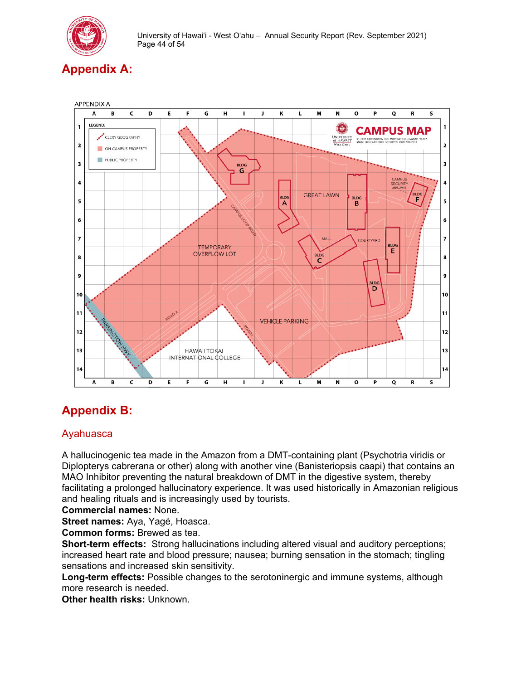

# <span id="page-43-0"></span>**Appendix A:**



# <span id="page-43-1"></span>**Appendix B:**

# <span id="page-43-2"></span>Ayahuasca

A hallucinogenic tea made in the Amazon from a DMT-containing plant (Psychotria viridis or Diplopterys cabrerana or other) along with another vine (Banisteriopsis caapi) that contains an MAO Inhibitor preventing the natural breakdown of DMT in the digestive system, thereby facilitating a prolonged hallucinatory experience. It was used historically in Amazonian religious and healing rituals and is increasingly used by tourists.

**Commercial names:** None.

**Street names:** Aya, Yagé, Hoasca.

**Common forms:** Brewed as tea.

**Short-term effects:** Strong hallucinations including altered visual and auditory perceptions; increased heart rate and blood pressure; nausea; burning sensation in the stomach; tingling sensations and increased skin sensitivity.

**Long-term effects:** Possible changes to the serotoninergic and immune systems, although more research is needed.

**Other health risks:** Unknown.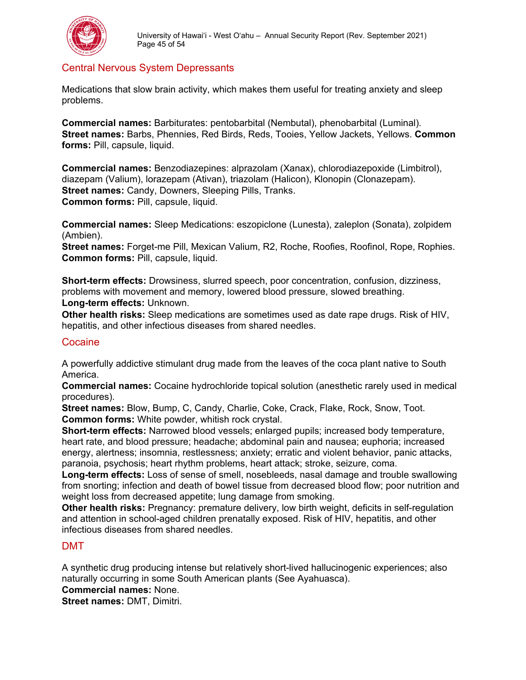

# <span id="page-44-0"></span>Central Nervous System Depressants

Medications that slow brain activity, which makes them useful for treating anxiety and sleep problems.

**Commercial names:** Barbiturates: pentobarbital (Nembutal), phenobarbital (Luminal). **Street names:** Barbs, Phennies, Red Birds, Reds, Tooies, Yellow Jackets, Yellows. **Common forms:** Pill, capsule, liquid.

**Commercial names:** Benzodiazepines: alprazolam (Xanax), chlorodiazepoxide (Limbitrol), diazepam (Valium), lorazepam (Ativan), triazolam (Halicon), Klonopin (Clonazepam). **Street names:** Candy, Downers, Sleeping Pills, Tranks. **Common forms:** Pill, capsule, liquid.

**Commercial names:** Sleep Medications: eszopiclone (Lunesta), zaleplon (Sonata), zolpidem (Ambien).

**Street names:** Forget-me Pill, Mexican Valium, R2, Roche, Roofies, Roofinol, Rope, Rophies. **Common forms: Pill, capsule, liquid.** 

**Short-term effects:** Drowsiness, slurred speech, poor concentration, confusion, dizziness, problems with movement and memory, lowered blood pressure, slowed breathing.

#### **Long-term effects:** Unknown.

**Other health risks:** Sleep medications are sometimes used as date rape drugs. Risk of HIV, hepatitis, and other infectious diseases from shared needles.

#### <span id="page-44-1"></span>Cocaine

A powerfully addictive stimulant drug made from the leaves of the coca plant native to South America.

**Commercial names:** Cocaine hydrochloride topical solution (anesthetic rarely used in medical procedures).

**Street names:** Blow, Bump, C, Candy, Charlie, Coke, Crack, Flake, Rock, Snow, Toot. **Common forms:** White powder, whitish rock crystal.

**Short-term effects:** Narrowed blood vessels; enlarged pupils; increased body temperature, heart rate, and blood pressure; headache; abdominal pain and nausea; euphoria; increased energy, alertness; insomnia, restlessness; anxiety; erratic and violent behavior, panic attacks, paranoia, psychosis; heart rhythm problems, heart attack; stroke, seizure, coma.

**Long-term effects:** Loss of sense of smell, nosebleeds, nasal damage and trouble swallowing from snorting; infection and death of bowel tissue from decreased blood flow; poor nutrition and weight loss from decreased appetite; lung damage from smoking.

**Other health risks:** Pregnancy: premature delivery, low birth weight, deficits in self-regulation and attention in school-aged children prenatally exposed. Risk of HIV, hepatitis, and other infectious diseases from shared needles.

#### <span id="page-44-2"></span>DMT

A synthetic drug producing intense but relatively short-lived hallucinogenic experiences; also naturally occurring in some South American plants (See Ayahuasca).

**Commercial names:** None.

**Street names:** DMT, Dimitri.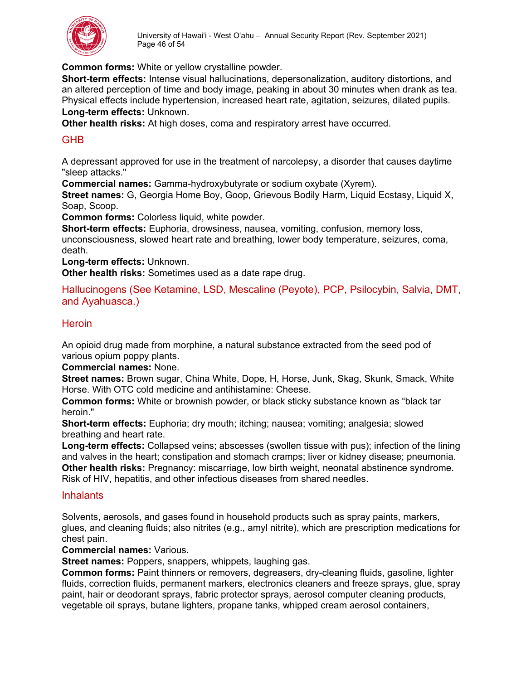

**Common forms:** White or yellow crystalline powder.

**Short-term effects:** Intense visual hallucinations, depersonalization, auditory distortions, and an altered perception of time and body image, peaking in about 30 minutes when drank as tea. Physical effects include hypertension, increased heart rate, agitation, seizures, dilated pupils. **Long-term effects:** Unknown.

**Other health risks:** At high doses, coma and respiratory arrest have occurred.

# <span id="page-45-0"></span>GHB

A depressant approved for use in the treatment of narcolepsy, a disorder that causes daytime "sleep attacks."

**Commercial names:** Gamma-hydroxybutyrate or sodium oxybate (Xyrem).

**Street names:** G, Georgia Home Boy, Goop, Grievous Bodily Harm, Liquid Ecstasy, Liquid X, Soap, Scoop.

**Common forms:** Colorless liquid, white powder.

**Short-term effects:** Euphoria, drowsiness, nausea, vomiting, confusion, memory loss, unconsciousness, slowed heart rate and breathing, lower body temperature, seizures, coma, death.

**Long-term effects:** Unknown.

**Other health risks:** Sometimes used as a date rape drug.

<span id="page-45-1"></span>Hallucinogens (See Ketamine, LSD, Mescaline (Peyote), PCP, Psilocybin, Salvia, DMT, and Ayahuasca.)

#### <span id="page-45-2"></span>**Heroin**

An opioid drug made from morphine, a natural substance extracted from the seed pod of various opium poppy plants.

**Commercial names:** None.

**Street names:** Brown sugar, China White, Dope, H, Horse, Junk, Skag, Skunk, Smack, White Horse. With OTC cold medicine and antihistamine: Cheese.

**Common forms:** White or brownish powder, or black sticky substance known as "black tar heroin."

**Short-term effects:** Euphoria; dry mouth; itching; nausea; vomiting; analgesia; slowed breathing and heart rate.

**Long-term effects:** Collapsed veins; abscesses (swollen tissue with pus); infection of the lining and valves in the heart; constipation and stomach cramps; liver or kidney disease; pneumonia. **Other health risks:** Pregnancy: miscarriage, low birth weight, neonatal abstinence syndrome. Risk of HIV, hepatitis, and other infectious diseases from shared needles.

#### <span id="page-45-3"></span>**Inhalants**

Solvents, aerosols, and gases found in household products such as spray paints, markers, glues, and cleaning fluids; also nitrites (e.g., amyl nitrite), which are prescription medications for chest pain.

#### **Commercial names:** Various.

**Street names:** Poppers, snappers, whippets, laughing gas.

**Common forms:** Paint thinners or removers, degreasers, dry-cleaning fluids, gasoline, lighter fluids, correction fluids, permanent markers, electronics cleaners and freeze sprays, glue, spray paint, hair or deodorant sprays, fabric protector sprays, aerosol computer cleaning products, vegetable oil sprays, butane lighters, propane tanks, whipped cream aerosol containers,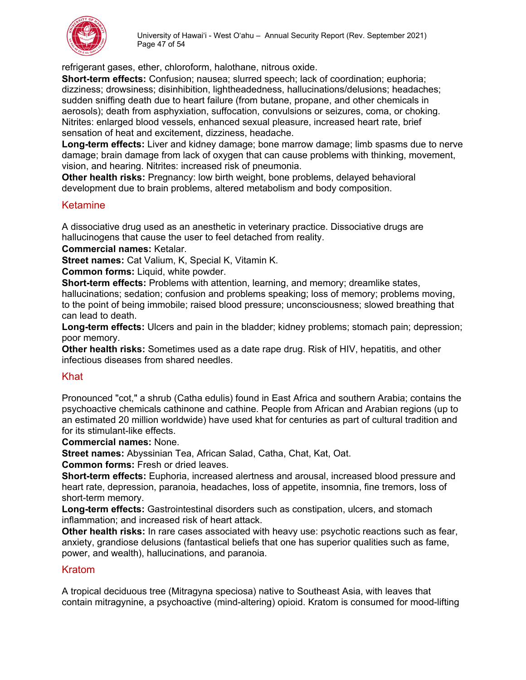

refrigerant gases, ether, chloroform, halothane, nitrous oxide.

**Short-term effects:** Confusion; nausea; slurred speech; lack of coordination; euphoria; dizziness; drowsiness; disinhibition, lightheadedness, hallucinations/delusions; headaches; sudden sniffing death due to heart failure (from butane, propane, and other chemicals in aerosols); death from asphyxiation, suffocation, convulsions or seizures, coma, or choking. Nitrites: enlarged blood vessels, enhanced sexual pleasure, increased heart rate, brief sensation of heat and excitement, dizziness, headache.

**Long-term effects:** Liver and kidney damage; bone marrow damage; limb spasms due to nerve damage; brain damage from lack of oxygen that can cause problems with thinking, movement, vision, and hearing. Nitrites: increased risk of pneumonia.

**Other health risks:** Pregnancy: low birth weight, bone problems, delayed behavioral development due to brain problems, altered metabolism and body composition.

#### <span id="page-46-0"></span>Ketamine

A dissociative drug used as an anesthetic in veterinary practice. Dissociative drugs are hallucinogens that cause the user to feel detached from reality.

**Commercial names:** Ketalar.

**Street names:** Cat Valium, K, Special K, Vitamin K.

**Common forms:** Liquid, white powder.

**Short-term effects:** Problems with attention, learning, and memory; dreamlike states, hallucinations; sedation; confusion and problems speaking; loss of memory; problems moving, to the point of being immobile; raised blood pressure; unconsciousness; slowed breathing that can lead to death.

**Long-term effects:** Ulcers and pain in the bladder; kidney problems; stomach pain; depression; poor memory.

**Other health risks:** Sometimes used as a date rape drug. Risk of HIV, hepatitis, and other infectious diseases from shared needles.

#### <span id="page-46-1"></span>Khat

Pronounced "cot," a shrub (Catha edulis) found in East Africa and southern Arabia; contains the psychoactive chemicals cathinone and cathine. People from African and Arabian regions (up to an estimated 20 million worldwide) have used khat for centuries as part of cultural tradition and for its stimulant-like effects.

**Commercial names:** None.

**Street names:** Abyssinian Tea, African Salad, Catha, Chat, Kat, Oat.

**Common forms:** Fresh or dried leaves.

**Short-term effects:** Euphoria, increased alertness and arousal, increased blood pressure and heart rate, depression, paranoia, headaches, loss of appetite, insomnia, fine tremors, loss of short-term memory.

**Long-term effects:** Gastrointestinal disorders such as constipation, ulcers, and stomach inflammation; and increased risk of heart attack.

**Other health risks:** In rare cases associated with heavy use: psychotic reactions such as fear, anxiety, grandiose delusions (fantastical beliefs that one has superior qualities such as fame, power, and wealth), hallucinations, and paranoia.

#### <span id="page-46-2"></span>Kratom

A tropical deciduous tree (Mitragyna speciosa) native to Southeast Asia, with leaves that contain mitragynine, a psychoactive (mind-altering) opioid. Kratom is consumed for mood-lifting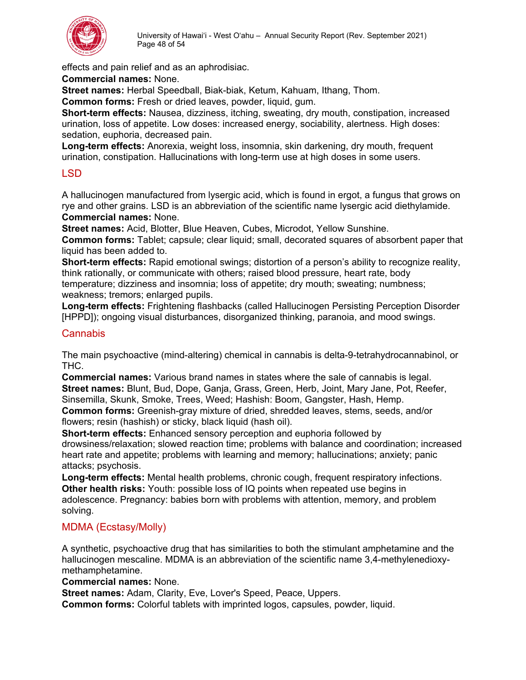

effects and pain relief and as an aphrodisiac.

**Commercial names:** None.

**Street names:** Herbal Speedball, Biak-biak, Ketum, Kahuam, Ithang, Thom.

**Common forms:** Fresh or dried leaves, powder, liquid, gum.

**Short-term effects:** Nausea, dizziness, itching, sweating, dry mouth, constipation, increased urination, loss of appetite. Low doses: increased energy, sociability, alertness. High doses: sedation, euphoria, decreased pain.

**Long-term effects:** Anorexia, weight loss, insomnia, skin darkening, dry mouth, frequent urination, constipation. Hallucinations with long-term use at high doses in some users.

# <span id="page-47-0"></span>LSD

A hallucinogen manufactured from lysergic acid, which is found in ergot, a fungus that grows on rye and other grains. LSD is an abbreviation of the scientific name lysergic acid diethylamide. **Commercial names:** None.

**Street names:** Acid, Blotter, Blue Heaven, Cubes, Microdot, Yellow Sunshine.

**Common forms:** Tablet; capsule; clear liquid; small, decorated squares of absorbent paper that liquid has been added to.

**Short-term effects:** Rapid emotional swings; distortion of a person's ability to recognize reality, think rationally, or communicate with others; raised blood pressure, heart rate, body temperature; dizziness and insomnia; loss of appetite; dry mouth; sweating; numbness; weakness; tremors; enlarged pupils.

**Long-term effects:** Frightening flashbacks (called Hallucinogen Persisting Perception Disorder [HPPD]); ongoing visual disturbances, disorganized thinking, paranoia, and mood swings.

#### <span id="page-47-1"></span>**Cannabis**

The main psychoactive (mind-altering) chemical in cannabis is delta-9-tetrahydrocannabinol, or THC.

**Commercial names:** Various brand names in states where the sale of cannabis is legal. **Street names:** Blunt, Bud, Dope, Ganja, Grass, Green, Herb, Joint, Mary Jane, Pot, Reefer, Sinsemilla, Skunk, Smoke, Trees, Weed; Hashish: Boom, Gangster, Hash, Hemp. **Common forms:** Greenish-gray mixture of dried, shredded leaves, stems, seeds, and/or flowers; resin (hashish) or sticky, black liquid (hash oil).

**Short-term effects:** Enhanced sensory perception and euphoria followed by drowsiness/relaxation; slowed reaction time; problems with balance and coordination; increased heart rate and appetite; problems with learning and memory; hallucinations; anxiety; panic attacks; psychosis.

**Long-term effects:** Mental health problems, chronic cough, frequent respiratory infections. **Other health risks:** Youth: possible loss of IQ points when repeated use begins in adolescence. Pregnancy: babies born with problems with attention, memory, and problem solving.

# <span id="page-47-2"></span>MDMA (Ecstasy/Molly)

A synthetic, psychoactive drug that has similarities to both the stimulant amphetamine and the hallucinogen mescaline. MDMA is an abbreviation of the scientific name 3,4-methylenedioxymethamphetamine.

**Commercial names:** None.

**Street names:** Adam, Clarity, Eve, Lover's Speed, Peace, Uppers.

**Common forms:** Colorful tablets with imprinted logos, capsules, powder, liquid.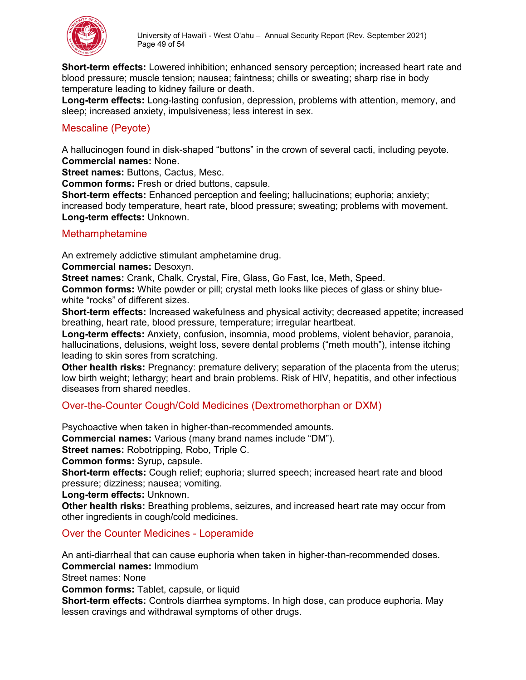

**Short-term effects:** Lowered inhibition; enhanced sensory perception; increased heart rate and blood pressure; muscle tension; nausea; faintness; chills or sweating; sharp rise in body temperature leading to kidney failure or death.

**Long-term effects:** Long-lasting confusion, depression, problems with attention, memory, and sleep; increased anxiety, impulsiveness; less interest in sex.

#### <span id="page-48-0"></span>Mescaline (Peyote)

A hallucinogen found in disk-shaped "buttons" in the crown of several cacti, including peyote. **Commercial names:** None.

**Street names:** Buttons, Cactus, Mesc.

**Common forms:** Fresh or dried buttons, capsule.

**Short-term effects:** Enhanced perception and feeling; hallucinations; euphoria; anxiety; increased body temperature, heart rate, blood pressure; sweating; problems with movement. **Long-term effects:** Unknown.

#### <span id="page-48-1"></span>Methamphetamine

An extremely addictive stimulant amphetamine drug.

**Commercial names:** Desoxyn.

**Street names:** Crank, Chalk, Crystal, Fire, Glass, Go Fast, Ice, Meth, Speed.

**Common forms:** White powder or pill; crystal meth looks like pieces of glass or shiny bluewhite "rocks" of different sizes.

**Short-term effects:** Increased wakefulness and physical activity; decreased appetite; increased breathing, heart rate, blood pressure, temperature; irregular heartbeat.

**Long-term effects:** Anxiety, confusion, insomnia, mood problems, violent behavior, paranoia, hallucinations, delusions, weight loss, severe dental problems ("meth mouth"), intense itching leading to skin sores from scratching.

**Other health risks:** Pregnancy: premature delivery; separation of the placenta from the uterus; low birth weight; lethargy; heart and brain problems. Risk of HIV, hepatitis, and other infectious diseases from shared needles.

# <span id="page-48-2"></span>Over-the-Counter Cough/Cold Medicines (Dextromethorphan or DXM)

Psychoactive when taken in higher-than-recommended amounts.

**Commercial names:** Various (many brand names include "DM").

**Street names:** Robotripping, Robo, Triple C.

**Common forms:** Syrup, capsule.

**Short-term effects:** Cough relief; euphoria; slurred speech; increased heart rate and blood pressure; dizziness; nausea; vomiting.

**Long-term effects:** Unknown.

**Other health risks:** Breathing problems, seizures, and increased heart rate may occur from other ingredients in cough/cold medicines.

#### <span id="page-48-3"></span>Over the Counter Medicines - Loperamide

An anti-diarrheal that can cause euphoria when taken in higher-than-recommended doses. **Commercial names:** Immodium

Street names: None

**Common forms:** Tablet, capsule, or liquid

**Short-term effects:** Controls diarrhea symptoms. In high dose, can produce euphoria. May lessen cravings and withdrawal symptoms of other drugs.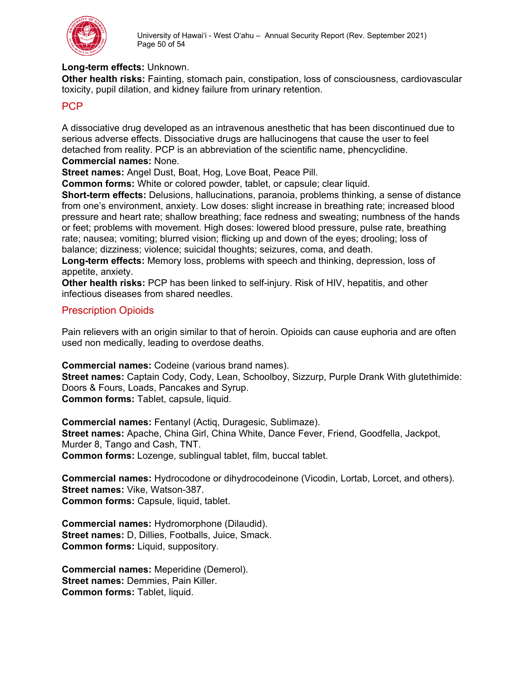

#### **Long-term effects:** Unknown.

**Other health risks:** Fainting, stomach pain, constipation, loss of consciousness, cardiovascular toxicity, pupil dilation, and kidney failure from urinary retention.

#### <span id="page-49-0"></span>PCP

A dissociative drug developed as an intravenous anesthetic that has been discontinued due to serious adverse effects. Dissociative drugs are hallucinogens that cause the user to feel detached from reality. PCP is an abbreviation of the scientific name, phencyclidine.

#### **Commercial names:** None.

**Street names:** Angel Dust, Boat, Hog, Love Boat, Peace Pill.

**Common forms:** White or colored powder, tablet, or capsule; clear liquid.

**Short-term effects:** Delusions, hallucinations, paranoia, problems thinking, a sense of distance from one's environment, anxiety. Low doses: slight increase in breathing rate; increased blood pressure and heart rate; shallow breathing; face redness and sweating; numbness of the hands or feet; problems with movement. High doses: lowered blood pressure, pulse rate, breathing rate; nausea; vomiting; blurred vision; flicking up and down of the eyes; drooling; loss of balance; dizziness; violence; suicidal thoughts; seizures, coma, and death.

**Long-term effects:** Memory loss, problems with speech and thinking, depression, loss of appetite, anxiety.

**Other health risks:** PCP has been linked to self-injury. Risk of HIV, hepatitis, and other infectious diseases from shared needles.

#### <span id="page-49-1"></span>Prescription Opioids

Pain relievers with an origin similar to that of heroin. Opioids can cause euphoria and are often used non medically, leading to overdose deaths.

**Commercial names:** Codeine (various brand names).

**Street names:** Captain Cody, Cody, Lean, Schoolboy, Sizzurp, Purple Drank With glutethimide: Doors & Fours, Loads, Pancakes and Syrup. **Common forms: Tablet, capsule, liquid.** 

**Commercial names:** Fentanyl (Actiq, Duragesic, Sublimaze). **Street names:** Apache, China Girl, China White, Dance Fever, Friend, Goodfella, Jackpot, Murder 8, Tango and Cash, TNT. **Common forms:** Lozenge, sublingual tablet, film, buccal tablet.

**Commercial names:** Hydrocodone or dihydrocodeinone (Vicodin, Lortab, Lorcet, and others). **Street names:** Vike, Watson-387. **Common forms:** Capsule, liquid, tablet.

**Commercial names:** Hydromorphone (Dilaudid). **Street names:** D, Dillies, Footballs, Juice, Smack. **Common forms:** Liquid, suppository.

**Commercial names:** Meperidine (Demerol). **Street names:** Demmies, Pain Killer. **Common forms:** Tablet, liquid.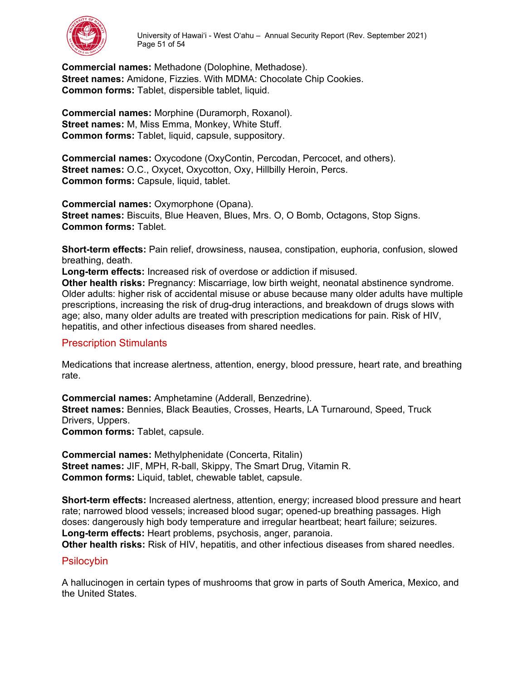

**Commercial names:** Methadone (Dolophine, Methadose). **Street names:** Amidone, Fizzies. With MDMA: Chocolate Chip Cookies. **Common forms:** Tablet, dispersible tablet, liquid.

**Commercial names:** Morphine (Duramorph, Roxanol). **Street names:** M, Miss Emma, Monkey, White Stuff. **Common forms: Tablet, liquid, capsule, suppository.** 

**Commercial names:** Oxycodone (OxyContin, Percodan, Percocet, and others). **Street names:** O.C., Oxycet, Oxycotton, Oxy, Hillbilly Heroin, Percs. **Common forms:** Capsule, liquid, tablet.

**Commercial names:** Oxymorphone (Opana). **Street names:** Biscuits, Blue Heaven, Blues, Mrs. O, O Bomb, Octagons, Stop Signs. **Common forms:** Tablet.

**Short-term effects:** Pain relief, drowsiness, nausea, constipation, euphoria, confusion, slowed breathing, death.

**Long-term effects:** Increased risk of overdose or addiction if misused.

**Other health risks:** Pregnancy: Miscarriage, low birth weight, neonatal abstinence syndrome. Older adults: higher risk of accidental misuse or abuse because many older adults have multiple prescriptions, increasing the risk of drug-drug interactions, and breakdown of drugs slows with age; also, many older adults are treated with prescription medications for pain. Risk of HIV, hepatitis, and other infectious diseases from shared needles.

#### <span id="page-50-0"></span>Prescription Stimulants

Medications that increase alertness, attention, energy, blood pressure, heart rate, and breathing rate.

**Commercial names:** Amphetamine (Adderall, Benzedrine). **Street names:** Bennies, Black Beauties, Crosses, Hearts, LA Turnaround, Speed, Truck Drivers, Uppers. **Common forms:** Tablet, capsule.

**Commercial names:** Methylphenidate (Concerta, Ritalin) **Street names:** JIF, MPH, R-ball, Skippy, The Smart Drug, Vitamin R. **Common forms:** Liquid, tablet, chewable tablet, capsule.

**Short-term effects:** Increased alertness, attention, energy; increased blood pressure and heart rate; narrowed blood vessels; increased blood sugar; opened-up breathing passages. High doses: dangerously high body temperature and irregular heartbeat; heart failure; seizures. **Long-term effects:** Heart problems, psychosis, anger, paranoia.

**Other health risks:** Risk of HIV, hepatitis, and other infectious diseases from shared needles.

#### <span id="page-50-1"></span>**Psilocybin**

A hallucinogen in certain types of mushrooms that grow in parts of South America, Mexico, and the United States.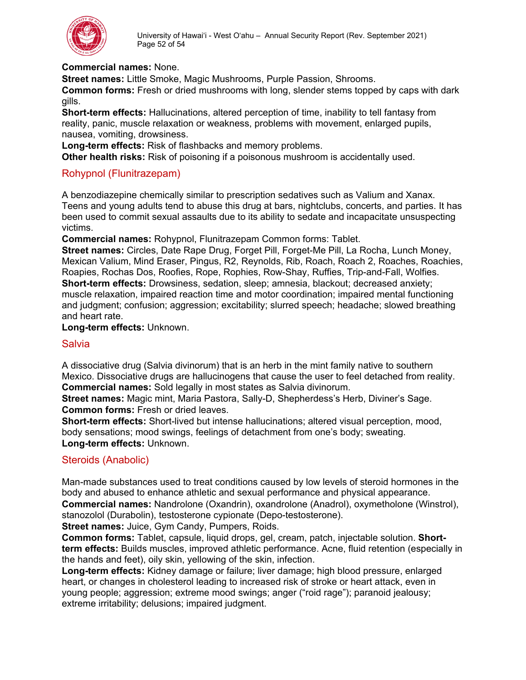

#### **Commercial names:** None.

**Street names:** Little Smoke, Magic Mushrooms, Purple Passion, Shrooms.

**Common forms:** Fresh or dried mushrooms with long, slender stems topped by caps with dark gills.

**Short-term effects:** Hallucinations, altered perception of time, inability to tell fantasy from reality, panic, muscle relaxation or weakness, problems with movement, enlarged pupils, nausea, vomiting, drowsiness.

**Long-term effects:** Risk of flashbacks and memory problems.

**Other health risks:** Risk of poisoning if a poisonous mushroom is accidentally used.

#### <span id="page-51-0"></span>Rohypnol (Flunitrazepam)

A benzodiazepine chemically similar to prescription sedatives such as Valium and Xanax. Teens and young adults tend to abuse this drug at bars, nightclubs, concerts, and parties. It has been used to commit sexual assaults due to its ability to sedate and incapacitate unsuspecting victims.

**Commercial names:** Rohypnol, Flunitrazepam Common forms: Tablet.

**Street names:** Circles, Date Rape Drug, Forget Pill, Forget-Me Pill, La Rocha, Lunch Money, Mexican Valium, Mind Eraser, Pingus, R2, Reynolds, Rib, Roach, Roach 2, Roaches, Roachies, Roapies, Rochas Dos, Roofies, Rope, Rophies, Row-Shay, Ruffies, Trip-and-Fall, Wolfies. **Short-term effects:** Drowsiness, sedation, sleep; amnesia, blackout; decreased anxiety; muscle relaxation, impaired reaction time and motor coordination; impaired mental functioning and judgment; confusion; aggression; excitability; slurred speech; headache; slowed breathing and heart rate.

#### **Long-term effects:** Unknown.

#### <span id="page-51-1"></span>**Salvia**

A dissociative drug (Salvia divinorum) that is an herb in the mint family native to southern Mexico. Dissociative drugs are hallucinogens that cause the user to feel detached from reality. **Commercial names:** Sold legally in most states as Salvia divinorum.

**Street names:** Magic mint, Maria Pastora, Sally-D, Shepherdess's Herb, Diviner's Sage. **Common forms:** Fresh or dried leaves.

**Short-term effects:** Short-lived but intense hallucinations; altered visual perception, mood, body sensations; mood swings, feelings of detachment from one's body; sweating. **Long-term effects:** Unknown.

#### <span id="page-51-2"></span>Steroids (Anabolic)

Man-made substances used to treat conditions caused by low levels of steroid hormones in the body and abused to enhance athletic and sexual performance and physical appearance. **Commercial names:** Nandrolone (Oxandrin), oxandrolone (Anadrol), oxymetholone (Winstrol),

stanozolol (Durabolin), testosterone cypionate (Depo-testosterone).

**Street names:** Juice, Gym Candy, Pumpers, Roids.

**Common forms:** Tablet, capsule, liquid drops, gel, cream, patch, injectable solution. **Shortterm effects:** Builds muscles, improved athletic performance. Acne, fluid retention (especially in the hands and feet), oily skin, yellowing of the skin, infection.

**Long-term effects:** Kidney damage or failure; liver damage; high blood pressure, enlarged heart, or changes in cholesterol leading to increased risk of stroke or heart attack, even in young people; aggression; extreme mood swings; anger ("roid rage"); paranoid jealousy; extreme irritability; delusions; impaired judgment.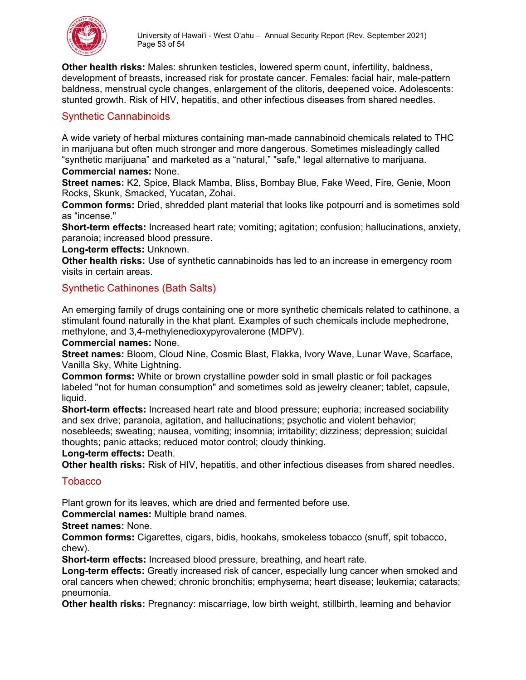

**Other health risks:** Males: shrunken testicles, lowered sperm count, infertility, baldness, development of breasts, increased risk for prostate cancer. Females: facial hair, male-pattern baldness, menstrual cycle changes, enlargement of the clitoris, deepened voice. Adolescents: stunted growth. Risk of HIV, hepatitis, and other infectious diseases from shared needles.

# <span id="page-52-0"></span>Synthetic Cannabinoids

A wide variety of herbal mixtures containing man-made cannabinoid chemicals related to THC in marijuana but often much stronger and more dangerous. Sometimes misleadingly called "synthetic marijuana" and marketed as a "natural," "safe," legal alternative to marijuana. **Commercial names:** None.

**Street names:** K2, Spice, Black Mamba, Bliss, Bombay Blue, Fake Weed, Fire, Genie, Moon Rocks, Skunk, Smacked, Yucatan, Zohai.

**Common forms:** Dried, shredded plant material that looks like potpourri and is sometimes sold as "incense."

**Short-term effects:** Increased heart rate; vomiting; agitation; confusion; hallucinations, anxiety, paranoia; increased blood pressure.

**Long-term effects:** Unknown.

**Other health risks:** Use of synthetic cannabinoids has led to an increase in emergency room visits in certain areas.

# <span id="page-52-1"></span>Synthetic Cathinones (Bath Salts)

An emerging family of drugs containing one or more synthetic chemicals related to cathinone, a stimulant found naturally in the khat plant. Examples of such chemicals include mephedrone, methylone, and 3,4-methylenedioxypyrovalerone (MDPV).

**Commercial names:** None.

**Street names:** Bloom, Cloud Nine, Cosmic Blast, Flakka, Ivory Wave, Lunar Wave, Scarface, Vanilla Sky, White Lightning.

**Common forms:** White or brown crystalline powder sold in small plastic or foil packages labeled "not for human consumption" and sometimes sold as jewelry cleaner; tablet, capsule, liquid.

**Short-term effects:** Increased heart rate and blood pressure; euphoria; increased sociability and sex drive; paranoia, agitation, and hallucinations; psychotic and violent behavior;

nosebleeds; sweating; nausea, vomiting; insomnia; irritability; dizziness; depression; suicidal thoughts; panic attacks; reduced motor control; cloudy thinking.

#### **Long-term effects:** Death.

**Other health risks:** Risk of HIV, hepatitis, and other infectious diseases from shared needles.

#### <span id="page-52-2"></span>**Tobacco**

Plant grown for its leaves, which are dried and fermented before use.

**Commercial names:** Multiple brand names.

**Street names:** None.

**Common forms:** Cigarettes, cigars, bidis, hookahs, smokeless tobacco (snuff, spit tobacco, chew).

**Short-term effects:** Increased blood pressure, breathing, and heart rate.

**Long-term effects:** Greatly increased risk of cancer, especially lung cancer when smoked and oral cancers when chewed; chronic bronchitis; emphysema; heart disease; leukemia; cataracts; pneumonia.

**Other health risks:** Pregnancy: miscarriage, low birth weight, stillbirth, learning and behavior